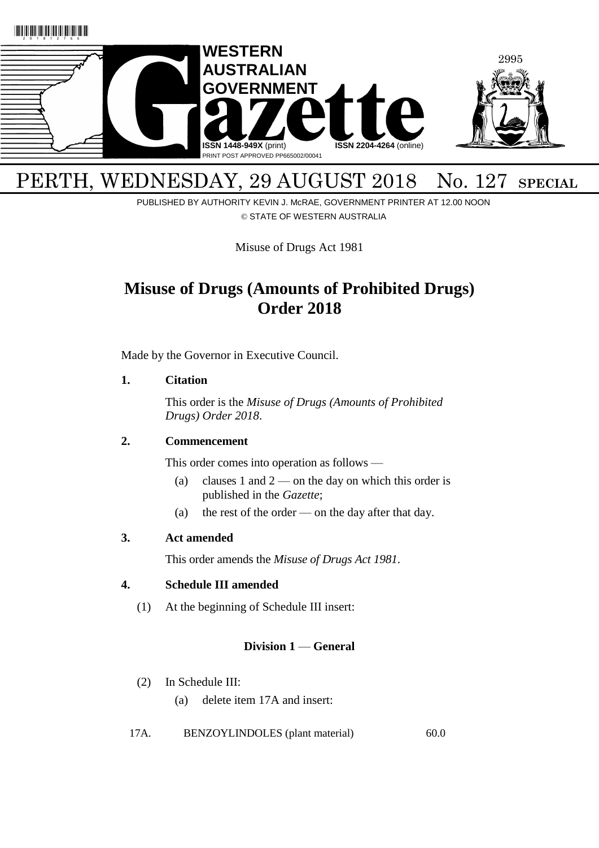

# PERTH, WEDNESDAY, 29 AUGUST 2018 No. 127 SPECIAL

PUBLISHED BY AUTHORITY KEVIN J. McRAE, GOVERNMENT PRINTER AT 12.00 NOON © STATE OF WESTERN AUSTRALIA

Misuse of Drugs Act 1981

## **Misuse of Drugs (Amounts of Prohibited Drugs) Order 2018**

Made by the Governor in Executive Council.

#### **1. Citation**

This order is the *Misuse of Drugs (Amounts of Prohibited Drugs) Order 2018*.

### **2. Commencement**

This order comes into operation as follows —

- (a) clauses 1 and  $2$  on the day on which this order is published in the *Gazette*;
- (a) the rest of the order on the day after that day.

### **3. Act amended**

This order amends the *Misuse of Drugs Act 1981*.

### **4. Schedule III amended**

(1) At the beginning of Schedule III insert:

## **Division 1** — **General**

- (2) In Schedule III:
	- (a) delete item 17A and insert:
- 17A. BENZOYLINDOLES (plant material) 60.0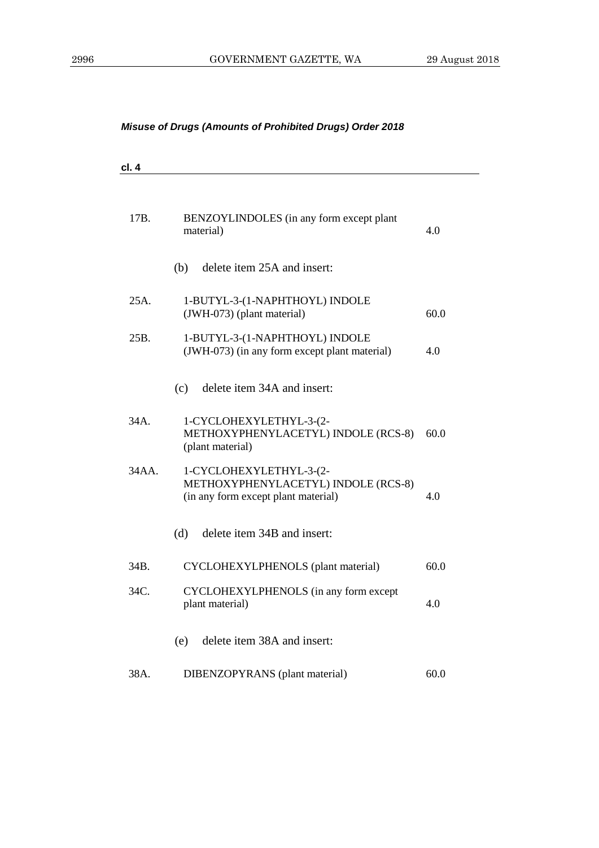| cl. 4 |                                                                                                       |      |
|-------|-------------------------------------------------------------------------------------------------------|------|
| 17B.  | BENZOYLINDOLES (in any form except plant<br>material)                                                 | 4.0  |
|       | delete item 25A and insert:<br>(b)                                                                    |      |
| 25A.  | 1-BUTYL-3-(1-NAPHTHOYL) INDOLE<br>(JWH-073) (plant material)                                          | 60.0 |
| 25B.  | 1-BUTYL-3-(1-NAPHTHOYL) INDOLE<br>(JWH-073) (in any form except plant material)                       | 4.0  |
|       | delete item 34A and insert:<br>(c)                                                                    |      |
| 34A.  | 1-CYCLOHEXYLETHYL-3-(2-<br>METHOXYPHENYLACETYL) INDOLE (RCS-8)<br>(plant material)                    | 60.0 |
| 34AA. | 1-CYCLOHEXYLETHYL-3-(2-<br>METHOXYPHENYLACETYL) INDOLE (RCS-8)<br>(in any form except plant material) | 4.0  |
|       | delete item 34B and insert:<br>(d)                                                                    |      |
| 34B.  | CYCLOHEXYLPHENOLS (plant material)                                                                    | 60.0 |
| 34C.  | CYCLOHEXYLPHENOLS (in any form except<br>plant material)                                              | 4.0  |
|       | delete item 38A and insert:<br>(e)                                                                    |      |
| 38A.  | DIBENZOPYRANS (plant material)                                                                        | 60.0 |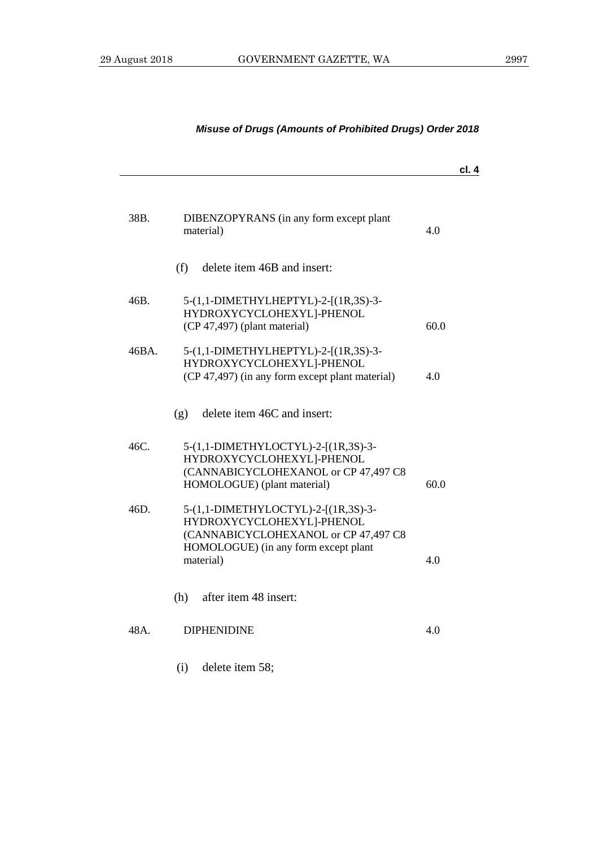|       |                                                                                                                                                               | cl. 4 |
|-------|---------------------------------------------------------------------------------------------------------------------------------------------------------------|-------|
| 38B.  | DIBENZOPYRANS (in any form except plant<br>material)                                                                                                          | 4.0   |
|       | delete item 46B and insert:<br>(f)                                                                                                                            |       |
| 46B.  | 5-(1,1-DIMETHYLHEPTYL)-2-[(1R,3S)-3-<br>HYDROXYCYCLOHEXYL]-PHENOL<br>(CP 47,497) (plant material)                                                             | 60.0  |
| 46BA. | 5-(1,1-DIMETHYLHEPTYL)-2-[(1R,3S)-3-<br>HYDROXYCYCLOHEXYL]-PHENOL<br>(CP 47,497) (in any form except plant material)                                          | 4.0   |
|       | delete item 46C and insert:<br>(g)                                                                                                                            |       |
| 46C.  | 5-(1,1-DIMETHYLOCTYL)-2-[(1R,3S)-3-<br>HYDROXYCYCLOHEXYL]-PHENOL<br>(CANNABICYCLOHEXANOL or CP 47,497 C8<br>HOMOLOGUE) (plant material)                       | 60.0  |
| 46D.  | 5-(1,1-DIMETHYLOCTYL)-2-[(1R,3S)-3-<br>HYDROXYCYCLOHEXYL]-PHENOL<br>(CANNABICYCLOHEXANOL or CP 47,497 C8<br>HOMOLOGUE) (in any form except plant<br>material) | 4.0   |
|       | after item 48 insert:<br>(h)                                                                                                                                  |       |
| 48A.  | <b>DIPHENIDINE</b>                                                                                                                                            | 4.0   |
|       | delete item 58;<br>(i)                                                                                                                                        |       |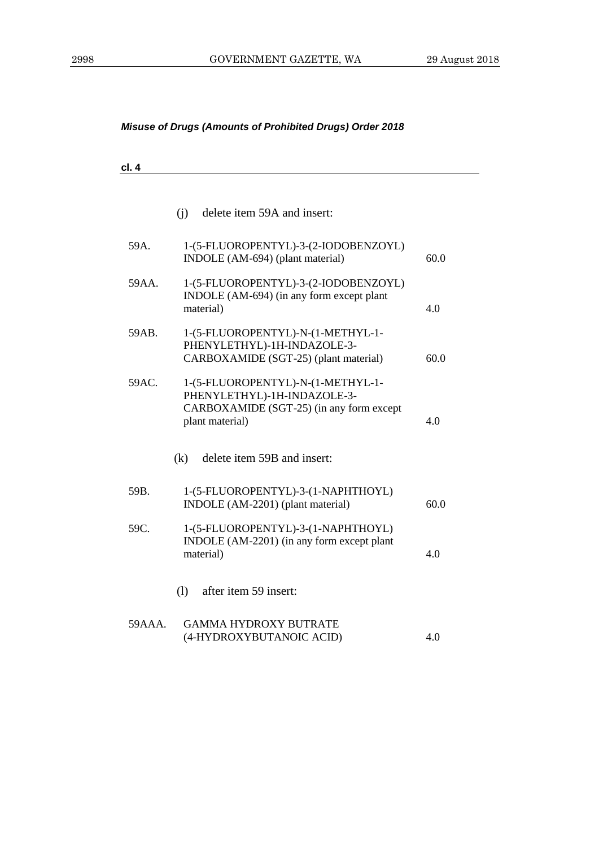| ×<br>۰. |
|---------|
|---------|

|        | (i)<br>delete item 59A and insert:                                                                                              |      |
|--------|---------------------------------------------------------------------------------------------------------------------------------|------|
| 59A.   | 1-(5-FLUOROPENTYL)-3-(2-IODOBENZOYL)<br>INDOLE (AM-694) (plant material)                                                        | 60.0 |
| 59AA.  | 1-(5-FLUOROPENTYL)-3-(2-IODOBENZOYL)<br>INDOLE (AM-694) (in any form except plant<br>material)                                  | 4.0  |
| 59AB.  | 1-(5-FLUOROPENTYL)-N-(1-METHYL-1-<br>PHENYLETHYL)-1H-INDAZOLE-3-<br>CARBOXAMIDE (SGT-25) (plant material)                       | 60.0 |
| 59AC.  | 1-(5-FLUOROPENTYL)-N-(1-METHYL-1-<br>PHENYLETHYL)-1H-INDAZOLE-3-<br>CARBOXAMIDE (SGT-25) (in any form except<br>plant material) | 4.0  |
|        | (k)<br>delete item 59B and insert:                                                                                              |      |
| 59B.   | 1-(5-FLUOROPENTYL)-3-(1-NAPHTHOYL)<br>INDOLE (AM-2201) (plant material)                                                         | 60.0 |
| 59C.   | 1-(5-FLUOROPENTYL)-3-(1-NAPHTHOYL)<br>INDOLE (AM-2201) (in any form except plant<br>material)                                   | 4.0  |
|        | (1)<br>after item 59 insert:                                                                                                    |      |
| 59AAA. | <b>GAMMA HYDROXY BUTRATE</b><br>(4-HYDROXYBUTANOIC ACID)                                                                        | 4.0  |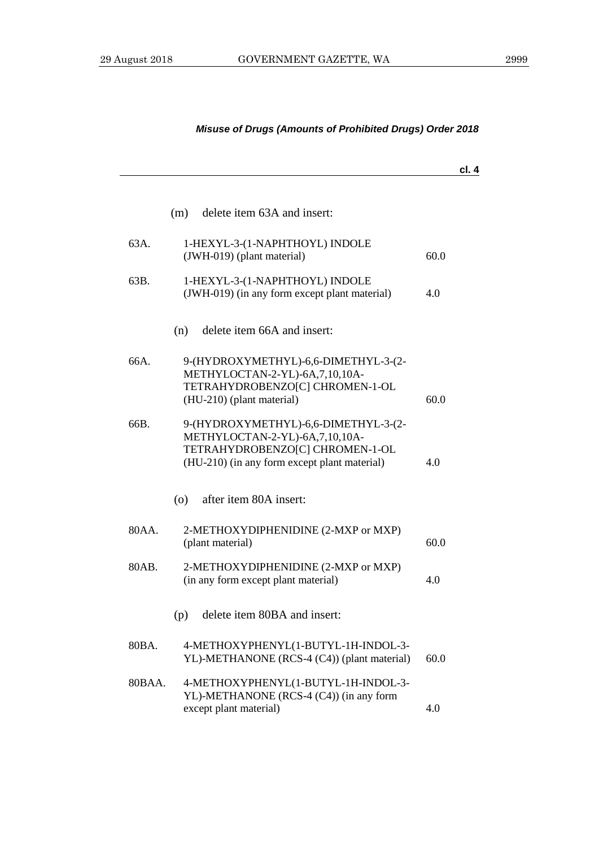| delete item 63A and insert:<br>(m)<br>63A.<br>1-HEXYL-3-(1-NAPHTHOYL) INDOLE<br>(JWH-019) (plant material)<br>60.0<br>63B.<br>1-HEXYL-3-(1-NAPHTHOYL) INDOLE<br>(JWH-019) (in any form except plant material)<br>4.0<br>delete item 66A and insert:<br>(n)<br>66A.<br>9-(HYDROXYMETHYL)-6,6-DIMETHYL-3-(2-<br>METHYLOCTAN-2-YL)-6A,7,10,10A-<br>TETRAHYDROBENZO[C] CHROMEN-1-OL<br>(HU-210) (plant material)<br>60.0<br>66B.<br>9-(HYDROXYMETHYL)-6,6-DIMETHYL-3-(2-<br>METHYLOCTAN-2-YL)-6A,7,10,10A-<br>TETRAHYDROBENZO[C] CHROMEN-1-OL<br>(HU-210) (in any form except plant material)<br>4.0<br>after item 80A insert:<br>(0)<br>80AA.<br>2-METHOXYDIPHENIDINE (2-MXP or MXP)<br>(plant material)<br>60.0<br>80AB.<br>2-METHOXYDIPHENIDINE (2-MXP or MXP)<br>(in any form except plant material)<br>4.0<br>delete item 80BA and insert:<br>(p)<br>80BA.<br>4-METHOXYPHENYL(1-BUTYL-1H-INDOL-3-<br>YL)-METHANONE (RCS-4 (C4)) (plant material)<br>60.0 |  | cl. 4 |
|-----------------------------------------------------------------------------------------------------------------------------------------------------------------------------------------------------------------------------------------------------------------------------------------------------------------------------------------------------------------------------------------------------------------------------------------------------------------------------------------------------------------------------------------------------------------------------------------------------------------------------------------------------------------------------------------------------------------------------------------------------------------------------------------------------------------------------------------------------------------------------------------------------------------------------------------------------------|--|-------|
|                                                                                                                                                                                                                                                                                                                                                                                                                                                                                                                                                                                                                                                                                                                                                                                                                                                                                                                                                           |  |       |
|                                                                                                                                                                                                                                                                                                                                                                                                                                                                                                                                                                                                                                                                                                                                                                                                                                                                                                                                                           |  |       |
|                                                                                                                                                                                                                                                                                                                                                                                                                                                                                                                                                                                                                                                                                                                                                                                                                                                                                                                                                           |  |       |
|                                                                                                                                                                                                                                                                                                                                                                                                                                                                                                                                                                                                                                                                                                                                                                                                                                                                                                                                                           |  |       |
|                                                                                                                                                                                                                                                                                                                                                                                                                                                                                                                                                                                                                                                                                                                                                                                                                                                                                                                                                           |  |       |
|                                                                                                                                                                                                                                                                                                                                                                                                                                                                                                                                                                                                                                                                                                                                                                                                                                                                                                                                                           |  |       |
|                                                                                                                                                                                                                                                                                                                                                                                                                                                                                                                                                                                                                                                                                                                                                                                                                                                                                                                                                           |  |       |
|                                                                                                                                                                                                                                                                                                                                                                                                                                                                                                                                                                                                                                                                                                                                                                                                                                                                                                                                                           |  |       |
|                                                                                                                                                                                                                                                                                                                                                                                                                                                                                                                                                                                                                                                                                                                                                                                                                                                                                                                                                           |  |       |
|                                                                                                                                                                                                                                                                                                                                                                                                                                                                                                                                                                                                                                                                                                                                                                                                                                                                                                                                                           |  |       |
|                                                                                                                                                                                                                                                                                                                                                                                                                                                                                                                                                                                                                                                                                                                                                                                                                                                                                                                                                           |  |       |
|                                                                                                                                                                                                                                                                                                                                                                                                                                                                                                                                                                                                                                                                                                                                                                                                                                                                                                                                                           |  |       |
| 4-METHOXYPHENYL(1-BUTYL-1H-INDOL-3-<br>80BAA.<br>YL)-METHANONE (RCS-4 (C4)) (in any form<br>except plant material)<br>4.0                                                                                                                                                                                                                                                                                                                                                                                                                                                                                                                                                                                                                                                                                                                                                                                                                                 |  |       |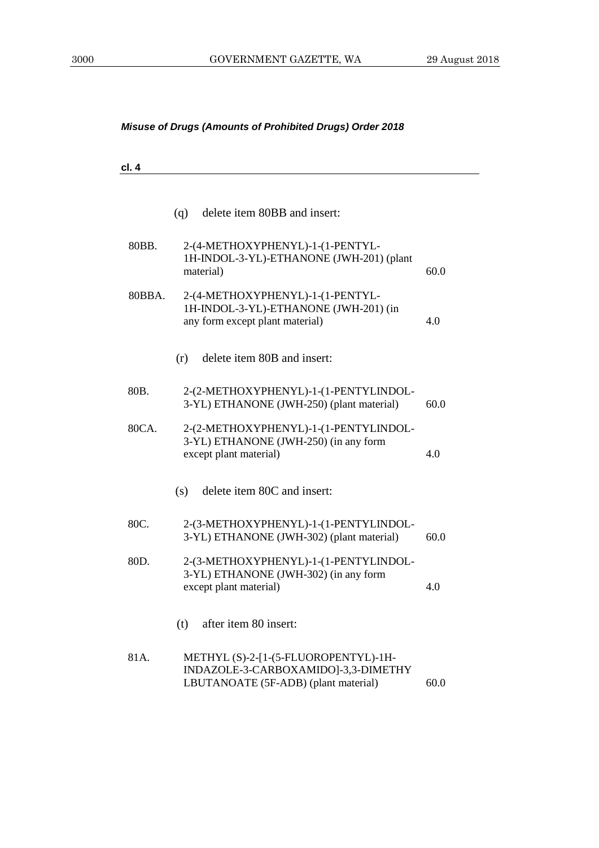**cl. 4**

|        | (q)<br>delete item 80BB and insert:                                                                                 |      |
|--------|---------------------------------------------------------------------------------------------------------------------|------|
| 80BB.  | 2-(4-METHOXYPHENYL)-1-(1-PENTYL-<br>1H-INDOL-3-YL)-ETHANONE (JWH-201) (plant<br>material)                           | 60.0 |
| 80BBA. | 2-(4-METHOXYPHENYL)-1-(1-PENTYL-<br>1H-INDOL-3-YL)-ETHANONE (JWH-201) (in<br>any form except plant material)        | 4.0  |
|        | delete item 80B and insert:<br>(r)                                                                                  |      |
| 80B.   | 2-(2-METHOXYPHENYL)-1-(1-PENTYLINDOL-<br>3-YL) ETHANONE (JWH-250) (plant material)                                  | 60.0 |
| 80CA.  | 2-(2-METHOXYPHENYL)-1-(1-PENTYLINDOL-<br>3-YL) ETHANONE (JWH-250) (in any form<br>except plant material)            | 4.0  |
|        | delete item 80C and insert:<br>(s)                                                                                  |      |
| 80C.   | 2-(3-METHOXYPHENYL)-1-(1-PENTYLINDOL-<br>3-YL) ETHANONE (JWH-302) (plant material)                                  | 60.0 |
| 80D.   | 2-(3-METHOXYPHENYL)-1-(1-PENTYLINDOL-<br>3-YL) ETHANONE (JWH-302) (in any form<br>except plant material)            | 4.0  |
|        | after item 80 insert:<br>(t)                                                                                        |      |
| 81A.   | METHYL (S)-2-[1-(5-FLUOROPENTYL)-1H-<br>INDAZOLE-3-CARBOXAMIDO]-3,3-DIMETHY<br>LBUTANOATE (5F-ADB) (plant material) | 60.0 |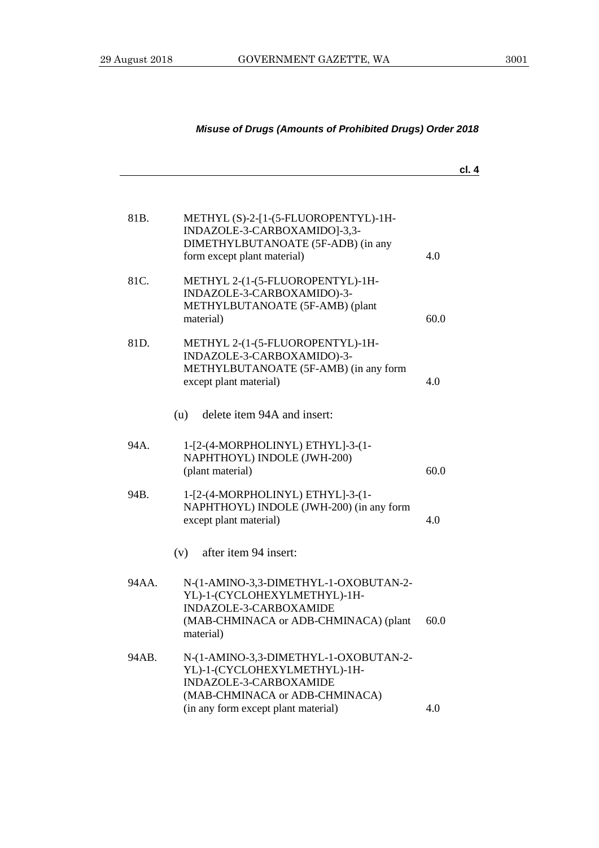|       |                                                                                                                                                       |      | cl. 4 |
|-------|-------------------------------------------------------------------------------------------------------------------------------------------------------|------|-------|
| 81B.  | METHYL (S)-2-[1-(5-FLUOROPENTYL)-1H-<br>INDAZOLE-3-CARBOXAMIDO]-3,3-<br>DIMETHYLBUTANOATE (5F-ADB) (in any<br>form except plant material)             | 4.0  |       |
| 81C.  | METHYL 2-(1-(5-FLUOROPENTYL)-1H-<br>INDAZOLE-3-CARBOXAMIDO)-3-<br>METHYLBUTANOATE (5F-AMB) (plant<br>material)                                        | 60.0 |       |
| 81D.  | METHYL 2-(1-(5-FLUOROPENTYL)-1H-<br>INDAZOLE-3-CARBOXAMIDO)-3-<br>METHYLBUTANOATE (5F-AMB) (in any form<br>except plant material)                     | 4.0  |       |
|       | delete item 94A and insert:<br>(u)                                                                                                                    |      |       |
| 94A.  | 1-[2-(4-MORPHOLINYL) ETHYL]-3-(1-<br>NAPHTHOYL) INDOLE (JWH-200)<br>(plant material)                                                                  | 60.0 |       |
| 94B.  | 1-[2-(4-MORPHOLINYL) ETHYL]-3-(1-<br>NAPHTHOYL) INDOLE (JWH-200) (in any form<br>except plant material)                                               | 4.0  |       |
|       | after item 94 insert:<br>(v)                                                                                                                          |      |       |
| 94AA. | N-(1-AMINO-3,3-DIMETHYL-1-OXOBUTAN-2-<br>YL)-1-(CYCLOHEXYLMETHYL)-1H-<br>INDAZOLE-3-CARBOXAMIDE<br>(MAB-CHMINACA or ADB-CHMINACA) (plant<br>material) | 60.0 |       |
| 94AB. | N-(1-AMINO-3,3-DIMETHYL-1-OXOBUTAN-2-<br>YL)-1-(CYCLOHEXYLMETHYL)-1H-<br>INDAZOLE-3-CARBOXAMIDE<br>(MAB-CHMINACA or ADB-CHMINACA)                     | 4.0  |       |
|       | (in any form except plant material)                                                                                                                   |      |       |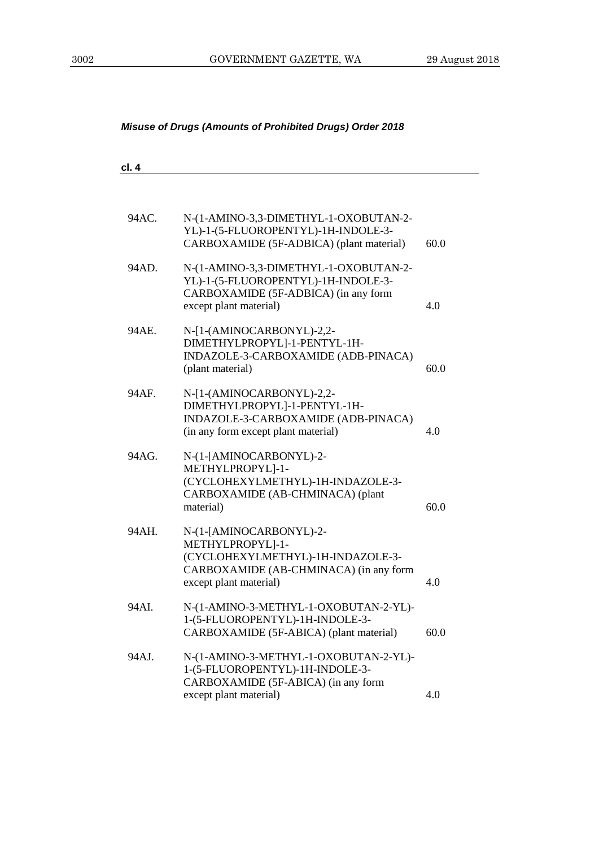| cl. 4 |                                                                                                                                                      |      |
|-------|------------------------------------------------------------------------------------------------------------------------------------------------------|------|
|       |                                                                                                                                                      |      |
| 94AC. | N-(1-AMINO-3,3-DIMETHYL-1-OXOBUTAN-2-<br>YL)-1-(5-FLUOROPENTYL)-1H-INDOLE-3-<br>CARBOXAMIDE (5F-ADBICA) (plant material)                             | 60.0 |
| 94AD. | N-(1-AMINO-3,3-DIMETHYL-1-OXOBUTAN-2-<br>YL)-1-(5-FLUOROPENTYL)-1H-INDOLE-3-<br>CARBOXAMIDE (5F-ADBICA) (in any form<br>except plant material)       | 4.0  |
| 94AE. | N-[1-(AMINOCARBONYL)-2,2-<br>DIMETHYLPROPYL]-1-PENTYL-1H-<br>INDAZOLE-3-CARBOXAMIDE (ADB-PINACA)<br>(plant material)                                 | 60.0 |
| 94AF. | N-[1-(AMINOCARBONYL)-2,2-<br>DIMETHYLPROPYL]-1-PENTYL-1H-<br>INDAZOLE-3-CARBOXAMIDE (ADB-PINACA)<br>(in any form except plant material)              | 4.0  |
| 94AG. | N-(1-[AMINOCARBONYL)-2-<br>METHYLPROPYL]-1-<br>(CYCLOHEXYLMETHYL)-1H-INDAZOLE-3-<br>CARBOXAMIDE (AB-CHMINACA) (plant<br>material)                    | 60.0 |
| 94AH. | N-(1-[AMINOCARBONYL)-2-<br>METHYLPROPYL]-1-<br>(CYCLOHEXYLMETHYL)-1H-INDAZOLE-3-<br>CARBOXAMIDE (AB-CHMINACA) (in any form<br>except plant material) | 4.0  |
| 94AI. | N-(1-AMINO-3-METHYL-1-OXOBUTAN-2-YL)-<br>1-(5-FLUOROPENTYL)-1H-INDOLE-3-<br>CARBOXAMIDE (5F-ABICA) (plant material)                                  | 60.0 |
| 94AJ. | N-(1-AMINO-3-METHYL-1-OXOBUTAN-2-YL)-<br>1-(5-FLUOROPENTYL)-1H-INDOLE-3-<br>CARBOXAMIDE (5F-ABICA) (in any form<br>except plant material)            | 4.0  |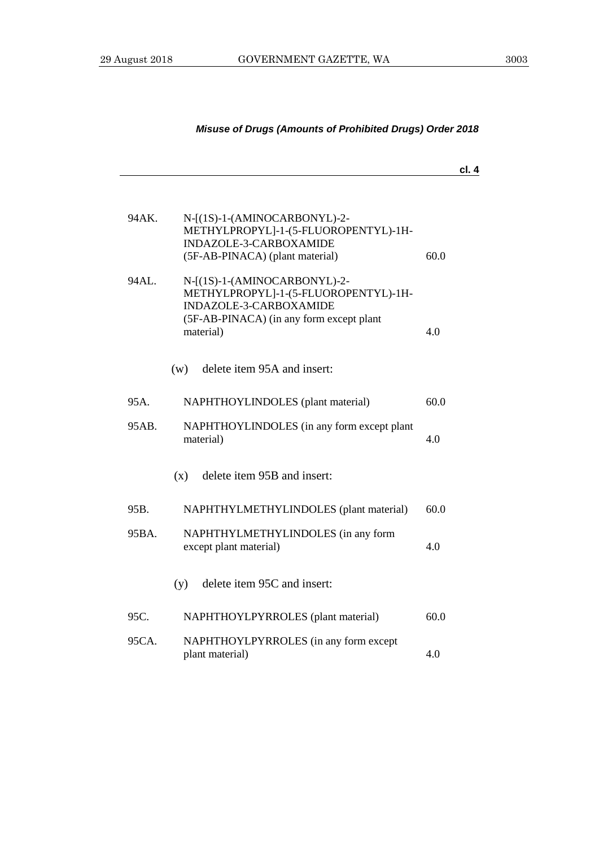**cl. 4**

| 94AK. | N-[(1S)-1-(AMINOCARBONYL)-2-<br>METHYLPROPYL]-1-(5-FLUOROPENTYL)-1H-<br>INDAZOLE-3-CARBOXAMIDE<br>(5F-AB-PINACA) (plant material)                       | 60.0 |
|-------|---------------------------------------------------------------------------------------------------------------------------------------------------------|------|
| 94AL. | N-[(1S)-1-(AMINOCARBONYL)-2-<br>METHYLPROPYL]-1-(5-FLUOROPENTYL)-1H-<br>INDAZOLE-3-CARBOXAMIDE<br>(5F-AB-PINACA) (in any form except plant<br>material) | 4.0  |
|       |                                                                                                                                                         |      |
|       | delete item 95A and insert:<br>(w)                                                                                                                      |      |
| 95A.  | NAPHTHOYLINDOLES (plant material)                                                                                                                       | 60.0 |
| 95AB. | NAPHTHOYLINDOLES (in any form except plant<br>material)                                                                                                 | 4.0  |
|       | delete item 95B and insert:<br>(x)                                                                                                                      |      |
| 95B.  | NAPHTHYLMETHYLINDOLES (plant material)                                                                                                                  | 60.0 |
| 95BA. | NAPHTHYLMETHYLINDOLES (in any form<br>except plant material)                                                                                            | 4.0  |
|       | delete item 95C and insert:<br>(y)                                                                                                                      |      |
| 95C.  | NAPHTHOYLPYRROLES (plant material)                                                                                                                      | 60.0 |
| 95CA. | NAPHTHOYLPYRROLES (in any form except<br>plant material)                                                                                                | 4.0  |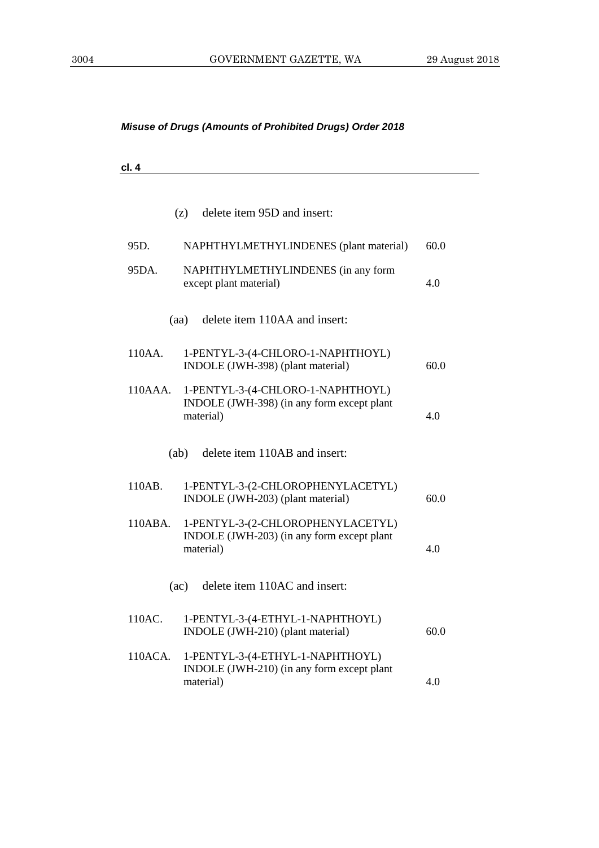| . .<br>--- - |  |  |  |
|--------------|--|--|--|
|              |  |  |  |

|         | delete item 95D and insert:<br>(z)                                                           |      |
|---------|----------------------------------------------------------------------------------------------|------|
| 95D.    | NAPHTHYLMETHYLINDENES (plant material)                                                       | 60.0 |
| 95DA.   | NAPHTHYLMETHYLINDENES (in any form<br>except plant material)                                 | 4.0  |
|         | delete item 110AA and insert:<br>(aa)                                                        |      |
| 110AA.  | 1-PENTYL-3-(4-CHLORO-1-NAPHTHOYL)<br>INDOLE (JWH-398) (plant material)                       | 60.0 |
| 110AAA. | 1-PENTYL-3-(4-CHLORO-1-NAPHTHOYL)<br>INDOLE (JWH-398) (in any form except plant<br>material) | 4.0  |
|         | delete item 110AB and insert:<br>(ab)                                                        |      |
| 110AB.  | 1-PENTYL-3-(2-CHLOROPHENYLACETYL)<br>INDOLE (JWH-203) (plant material)                       | 60.0 |
| 110ABA. | 1-PENTYL-3-(2-CHLOROPHENYLACETYL)<br>INDOLE (JWH-203) (in any form except plant<br>material) | 4.0  |
|         | delete item 110AC and insert:<br>(ac)                                                        |      |
| 110AC.  | 1-PENTYL-3-(4-ETHYL-1-NAPHTHOYL)<br>INDOLE (JWH-210) (plant material)                        | 60.0 |
| 110ACA. | 1-PENTYL-3-(4-ETHYL-1-NAPHTHOYL)<br>INDOLE (JWH-210) (in any form except plant<br>material)  | 4.0  |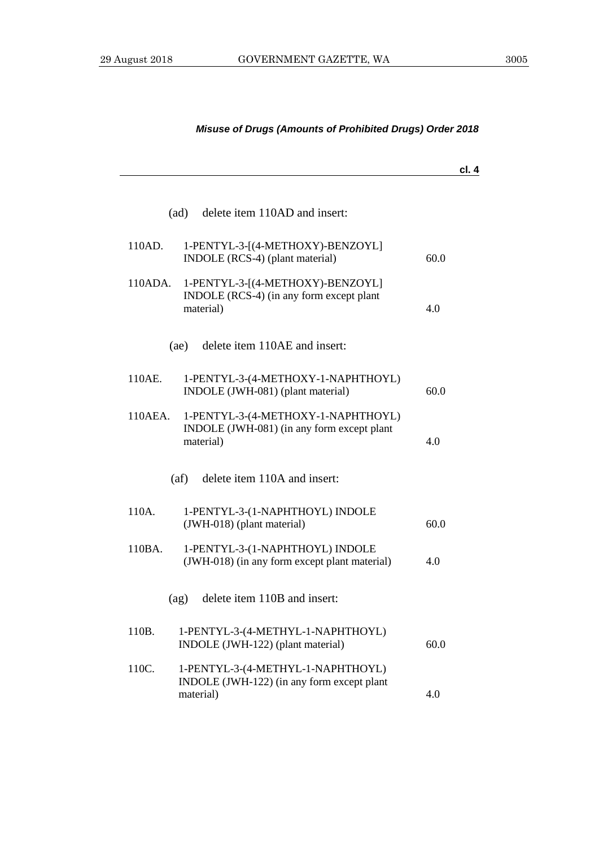# **cl. 4** (ad) delete item 110AD and insert: 110AD. 1-PENTYL-3-[(4-METHOXY)-BENZOYL] INDOLE (RCS-4) (plant material) 60.0 110ADA. 1-PENTYL-3-[(4-METHOXY)-BENZOYL] INDOLE (RCS-4) (in any form except plant material) 4.0 (ae) delete item 110AE and insert: 110AE. 1-PENTYL-3-(4-METHOXY-1-NAPHTHOYL) INDOLE (JWH-081) (plant material) 60.0 110AEA. 1-PENTYL-3-(4-METHOXY-1-NAPHTHOYL) INDOLE (JWH-081) (in any form except plant material) 4.0 (af) delete item 110A and insert: 110A. 1-PENTYL-3-(1-NAPHTHOYL) INDOLE  $(JWH-018)$  (plant material) 60.0 110BA. 1-PENTYL-3-(1-NAPHTHOYL) INDOLE (JWH-018) (in any form except plant material) 4.0 (ag) delete item 110B and insert: 110B. 1-PENTYL-3-(4-METHYL-1-NAPHTHOYL) INDOLE (JWH-122) (plant material) 60.0 110C. 1-PENTYL-3-(4-METHYL-1-NAPHTHOYL) INDOLE (JWH-122) (in any form except plant material) 4.0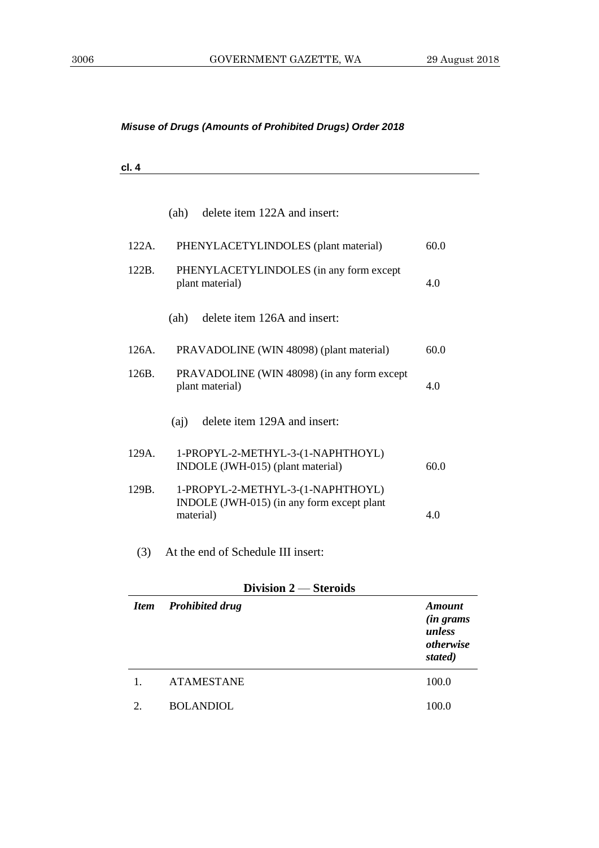| $\overline{\phantom{a}}$<br><br>. .<br>-- - |  |  |  |
|---------------------------------------------|--|--|--|
|                                             |  |  |  |

|          | delete item 122A and insert:<br>(ah)                                                         |      |
|----------|----------------------------------------------------------------------------------------------|------|
| $122A$ . | PHENYLACETYLINDOLES (plant material)                                                         | 60.0 |
| 122B.    | PHENYLACETYLINDOLES (in any form except<br>plant material)                                   | 4.0  |
|          | delete item 126A and insert:<br>(ah)                                                         |      |
| $126A$ . | PRAVADOLINE (WIN 48098) (plant material)                                                     | 60.0 |
| 126B.    | PRAVADOLINE (WIN 48098) (in any form except<br>plant material)                               | 4.0  |
|          | delete item 129A and insert:<br>(ai)                                                         |      |
| $129A$ . | 1-PROPYL-2-METHYL-3-(1-NAPHTHOYL)<br>INDOLE (JWH-015) (plant material)                       | 60.0 |
| 129B.    | 1-PROPYL-2-METHYL-3-(1-NAPHTHOYL)<br>INDOLE (JWH-015) (in any form except plant<br>material) | 4.0  |
| (3)      | At the end of Schedule III insert:                                                           |      |
|          | Division 2 – Steroids                                                                        |      |

| <b>Item</b>                 | <b>Prohibited drug</b> | Amount<br><i>(in grams</i><br>unless<br>otherwise<br>stated) |
|-----------------------------|------------------------|--------------------------------------------------------------|
| 1.                          | <b>ATAMESTANE</b>      | 100.0                                                        |
| $\mathcal{D}_{\mathcal{L}}$ | <b>BOLANDIOL</b>       | 100.0                                                        |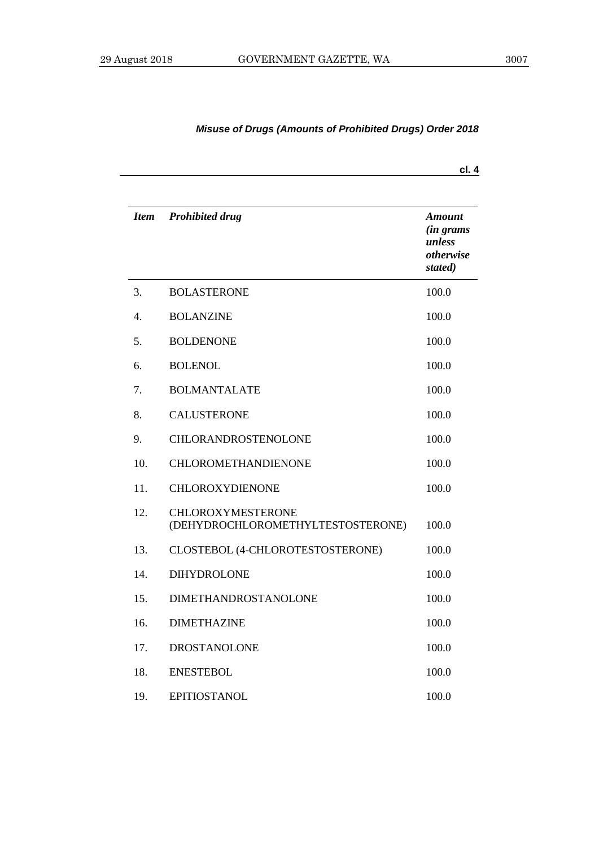|             |                                                               | cl. 4                                                         |
|-------------|---------------------------------------------------------------|---------------------------------------------------------------|
| <b>Item</b> | <b>Prohibited drug</b>                                        | Amount<br><i>(in grams)</i><br>unless<br>otherwise<br>stated) |
| 3.          | <b>BOLASTERONE</b>                                            | 100.0                                                         |
| 4.          | <b>BOLANZINE</b>                                              | 100.0                                                         |
| 5.          | <b>BOLDENONE</b>                                              | 100.0                                                         |
| 6.          | <b>BOLENOL</b>                                                | 100.0                                                         |
| 7.          | <b>BOLMANTALATE</b>                                           | 100.0                                                         |
| 8.          | <b>CALUSTERONE</b>                                            | 100.0                                                         |
| 9.          | <b>CHLORANDROSTENOLONE</b>                                    | 100.0                                                         |
| 10.         | <b>CHLOROMETHANDIENONE</b>                                    | 100.0                                                         |
| 11.         | CHLOROXYDIENONE                                               | 100.0                                                         |
| 12.         | <b>CHLOROXYMESTERONE</b><br>(DEHYDROCHLOROMETHYLTESTOSTERONE) | 100.0                                                         |
| 13.         | CLOSTEBOL (4-CHLOROTESTOSTERONE)                              | 100.0                                                         |
| 14.         | <b>DIHYDROLONE</b>                                            | 100.0                                                         |
| 15.         | <b>DIMETHANDROSTANOLONE</b>                                   | 100.0                                                         |
| 16.         | <b>DIMETHAZINE</b>                                            | 100.0                                                         |
| 17.         | <b>DROSTANOLONE</b>                                           | 100.0                                                         |
| 18.         | <b>ENESTEBOL</b>                                              | 100.0                                                         |
| 19.         | <b>EPITIOSTANOL</b>                                           | 100.0                                                         |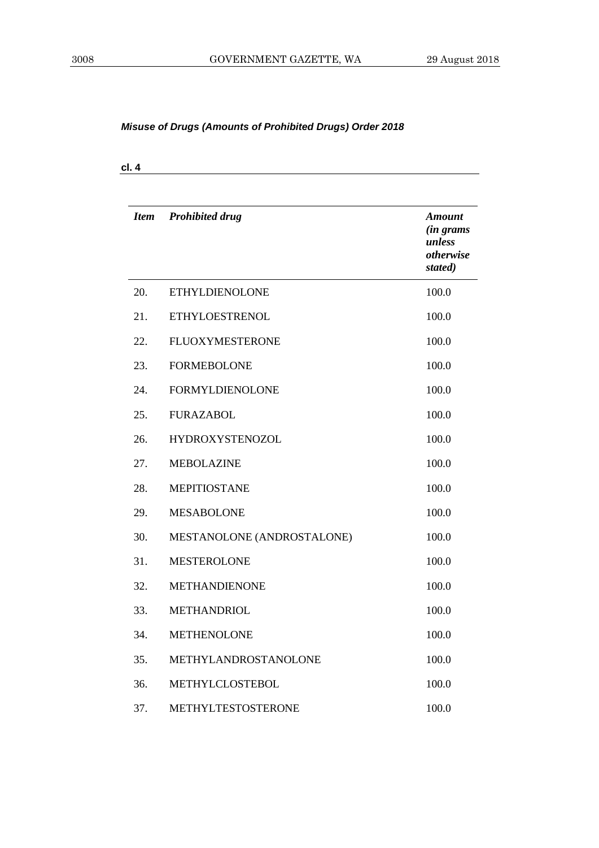**cl. 4**

| <b>Item</b> | <b>Prohibited drug</b>     | <b>Amount</b><br><i>(in grams</i><br>unless<br>otherwise<br>stated) |
|-------------|----------------------------|---------------------------------------------------------------------|
| 20.         | <b>ETHYLDIENOLONE</b>      | 100.0                                                               |
| 21.         | <b>ETHYLOESTRENOL</b>      | 100.0                                                               |
| 22.         | <b>FLUOXYMESTERONE</b>     | 100.0                                                               |
| 23.         | <b>FORMEBOLONE</b>         | 100.0                                                               |
| 24.         | <b>FORMYLDIENOLONE</b>     | 100.0                                                               |
| 25.         | <b>FURAZABOL</b>           | 100.0                                                               |
| 26.         | <b>HYDROXYSTENOZOL</b>     | 100.0                                                               |
| 27.         | <b>MEBOLAZINE</b>          | 100.0                                                               |
| 28.         | <b>MEPITIOSTANE</b>        | 100.0                                                               |
| 29.         | <b>MESABOLONE</b>          | 100.0                                                               |
| 30.         | MESTANOLONE (ANDROSTALONE) | 100.0                                                               |
| 31.         | <b>MESTEROLONE</b>         | 100.0                                                               |
| 32.         | <b>METHANDIENONE</b>       | 100.0                                                               |
| 33.         | <b>METHANDRIOL</b>         | 100.0                                                               |
| 34.         | <b>METHENOLONE</b>         | 100.0                                                               |
| 35.         | METHYLANDROSTANOLONE       | 100.0                                                               |
| 36.         | METHYLCLOSTEBOL            | 100.0                                                               |
| 37.         | METHYLTESTOSTERONE         | 100.0                                                               |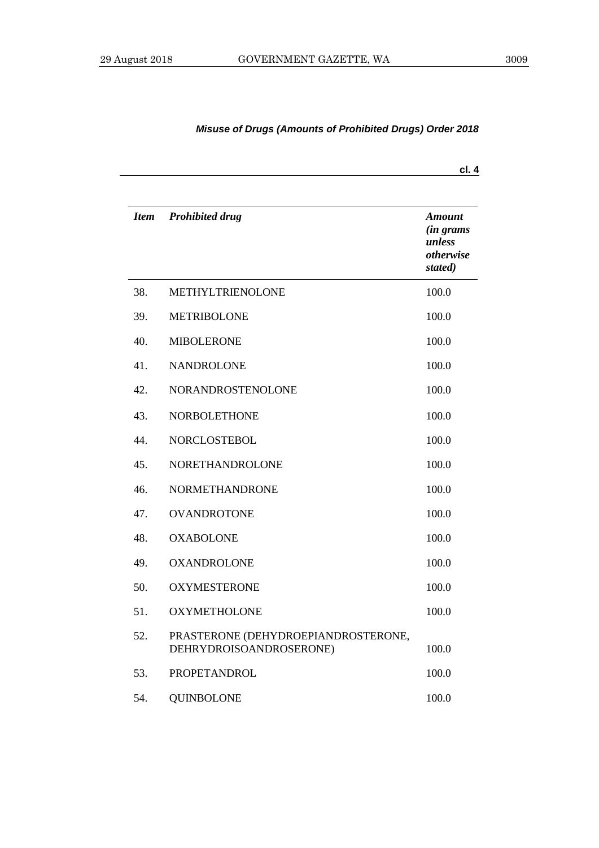| <b>Item</b> | <b>Prohibited drug</b>                                         | <b>Amount</b><br><i>(in grams</i><br>unless<br>otherwise<br>stated) |
|-------------|----------------------------------------------------------------|---------------------------------------------------------------------|
| 38.         | METHYLTRIENOLONE                                               | 100.0                                                               |
| 39.         | <b>METRIBOLONE</b>                                             | 100.0                                                               |
| 40.         | <b>MIBOLERONE</b>                                              | 100.0                                                               |
| 41.         | <b>NANDROLONE</b>                                              | 100.0                                                               |
| 42.         | NORANDROSTENOLONE                                              | 100.0                                                               |
| 43.         | <b>NORBOLETHONE</b>                                            | 100.0                                                               |
| 44.         | <b>NORCLOSTEBOL</b>                                            | 100.0                                                               |
| 45.         | NORETHANDROLONE                                                | 100.0                                                               |
| 46.         | <b>NORMETHANDRONE</b>                                          | 100.0                                                               |
| 47.         | <b>OVANDROTONE</b>                                             | 100.0                                                               |
| 48.         | <b>OXABOLONE</b>                                               | 100.0                                                               |
| 49.         | <b>OXANDROLONE</b>                                             | 100.0                                                               |
| 50.         | <b>OXYMESTERONE</b>                                            | 100.0                                                               |
| 51.         | <b>OXYMETHOLONE</b>                                            | 100.0                                                               |
| 52.         | PRASTERONE (DEHYDROEPIANDROSTERONE,<br>DEHRYDROISOANDROSERONE) | 100.0                                                               |
| 53.         | PROPETANDROL                                                   | 100.0                                                               |
| 54.         | <b>QUINBOLONE</b>                                              | 100.0                                                               |

**cl. 4**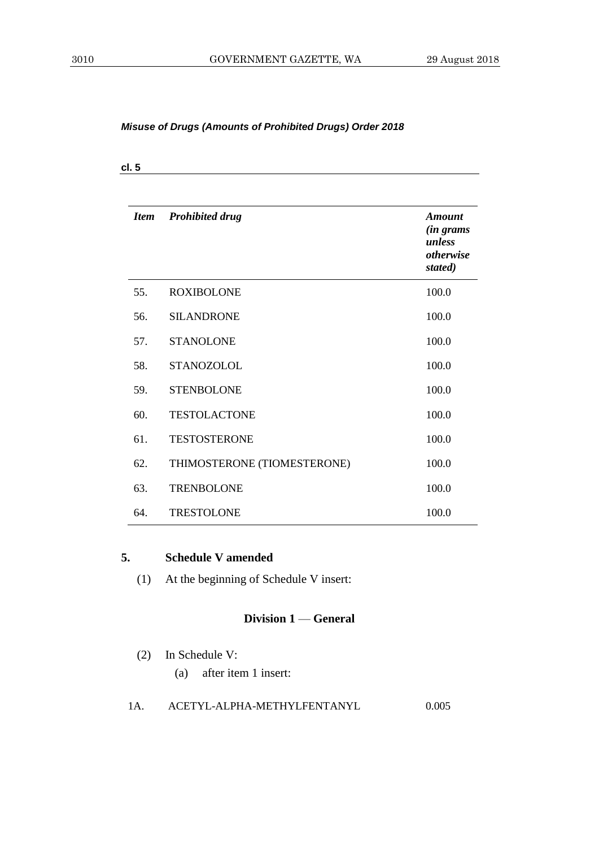| <b>Item</b> | <b>Prohibited drug</b>      | <b>Amount</b><br><i>(in grams</i><br>unless<br>otherwise<br>stated) |
|-------------|-----------------------------|---------------------------------------------------------------------|
| 55.         | <b>ROXIBOLONE</b>           | 100.0                                                               |
| 56.         | <b>SILANDRONE</b>           | 100.0                                                               |
| 57.         | <b>STANOLONE</b>            | 100.0                                                               |
| 58.         | <b>STANOZOLOL</b>           | 100.0                                                               |
| 59.         | <b>STENBOLONE</b>           | 100.0                                                               |
| 60.         | <b>TESTOLACTONE</b>         | 100.0                                                               |
| 61.         | <b>TESTOSTERONE</b>         | 100.0                                                               |
| 62.         | THIMOSTERONE (TIOMESTERONE) | 100.0                                                               |
| 63.         | <b>TRENBOLONE</b>           | 100.0                                                               |
| 64.         | <b>TRESTOLONE</b>           | 100.0                                                               |

#### **5. Schedule V amended**

(1) At the beginning of Schedule V insert:

#### **Division 1** — **General**

- (2) In Schedule V:
	- (a) after item 1 insert:

#### 1A. ACETYL-ALPHA-METHYLFENTANYL 0.005

**cl. 5**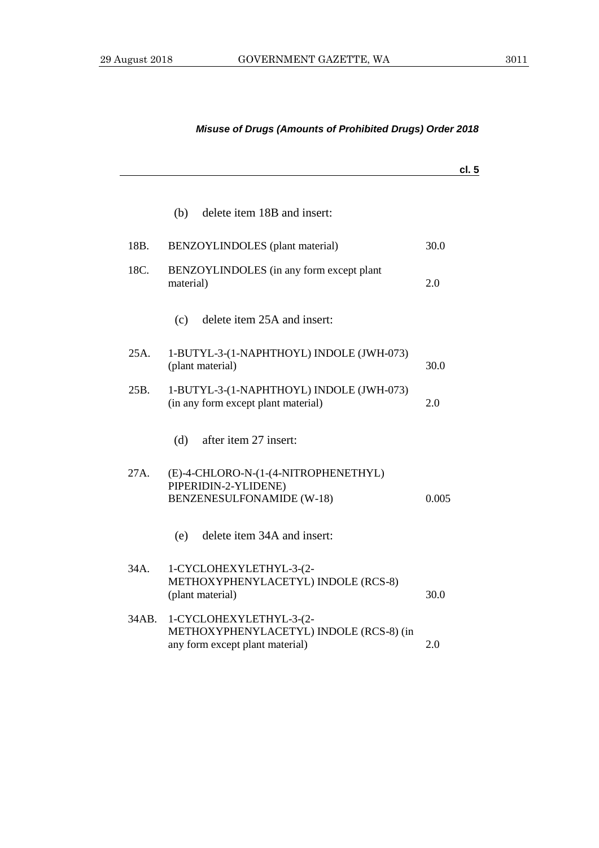|       |                                                                                                       | cl.5  |
|-------|-------------------------------------------------------------------------------------------------------|-------|
|       | delete item 18B and insert:<br>(b)                                                                    |       |
| 18B.  | BENZOYLINDOLES (plant material)                                                                       | 30.0  |
| 18C.  | BENZOYLINDOLES (in any form except plant<br>material)                                                 | 2.0   |
|       | delete item 25A and insert:<br>(c)                                                                    |       |
| 25A.  | 1-BUTYL-3-(1-NAPHTHOYL) INDOLE (JWH-073)<br>(plant material)                                          | 30.0  |
| 25B.  | 1-BUTYL-3-(1-NAPHTHOYL) INDOLE (JWH-073)<br>(in any form except plant material)                       | 2.0   |
|       | (d)<br>after item 27 insert:                                                                          |       |
| 27A.  | (E)-4-CHLORO-N-(1-(4-NITROPHENETHYL)<br>PIPERIDIN-2-YLIDENE)<br><b>BENZENESULFONAMIDE (W-18)</b>      | 0.005 |
|       | delete item 34A and insert:<br>(e)                                                                    |       |
| 34A.  | 1-CYCLOHEXYLETHYL-3-(2-<br>METHOXYPHENYLACETYL) INDOLE (RCS-8)<br>(plant material)                    | 30.0  |
| 34AB. | 1-CYCLOHEXYLETHYL-3-(2-<br>METHOXYPHENYLACETYL) INDOLE (RCS-8) (in<br>any form except plant material) | 2.0   |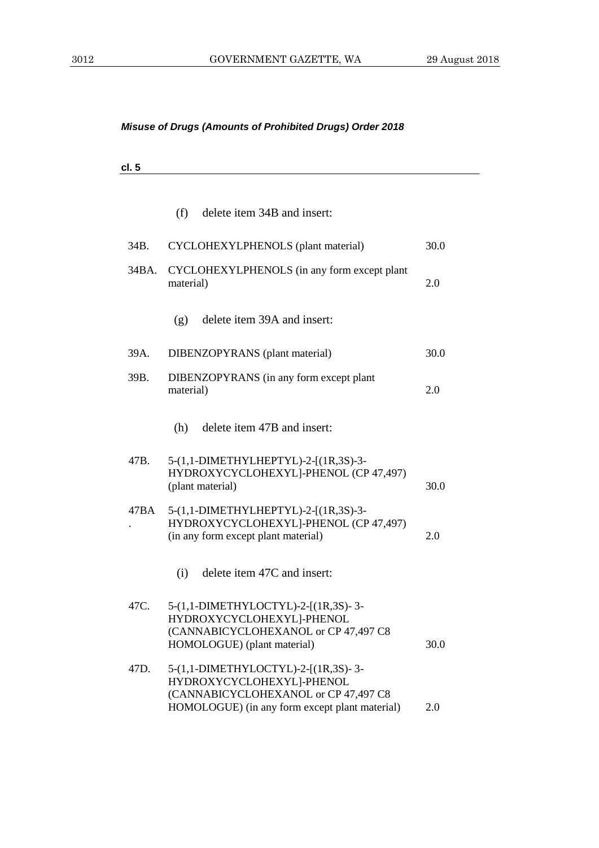**cl. 5**

|       | (f)<br>delete item 34B and insert:                                                                                                                         |      |
|-------|------------------------------------------------------------------------------------------------------------------------------------------------------------|------|
| 34B.  | CYCLOHEXYLPHENOLS (plant material)                                                                                                                         | 30.0 |
| 34BA. | CYCLOHEXYLPHENOLS (in any form except plant<br>material)                                                                                                   | 2.0  |
|       | delete item 39A and insert:<br>(g)                                                                                                                         |      |
| 39A.  | DIBENZOPYRANS (plant material)                                                                                                                             | 30.0 |
| 39B.  | DIBENZOPYRANS (in any form except plant<br>material)                                                                                                       | 2.0  |
|       | delete item 47B and insert:<br>(h)                                                                                                                         |      |
| 47B.  | 5-(1,1-DIMETHYLHEPTYL)-2-[(1R,3S)-3-<br>HYDROXYCYCLOHEXYL]-PHENOL (CP 47,497)<br>(plant material)                                                          | 30.0 |
| 47BA  | 5-(1,1-DIMETHYLHEPTYL)-2-[(1R,3S)-3-<br>HYDROXYCYCLOHEXYL]-PHENOL (CP 47,497)<br>(in any form except plant material)                                       | 2.0  |
|       | delete item 47C and insert:<br>(i)                                                                                                                         |      |
| 47C.  | 5-(1,1-DIMETHYLOCTYL)-2-[(1R,3S)-3-<br>HYDROXYCYCLOHEXYL]-PHENOL<br>(CANNABICYCLOHEXANOL or CP 47,497 C8<br>HOMOLOGUE) (plant material)                    | 30.0 |
| 47D.  | 5-(1,1-DIMETHYLOCTYL)-2-[(1R,3S)-3-<br>HYDROXYCYCLOHEXYL]-PHENOL<br>(CANNABICYCLOHEXANOL or CP 47,497 C8<br>HOMOLOGUE) (in any form except plant material) | 2.0  |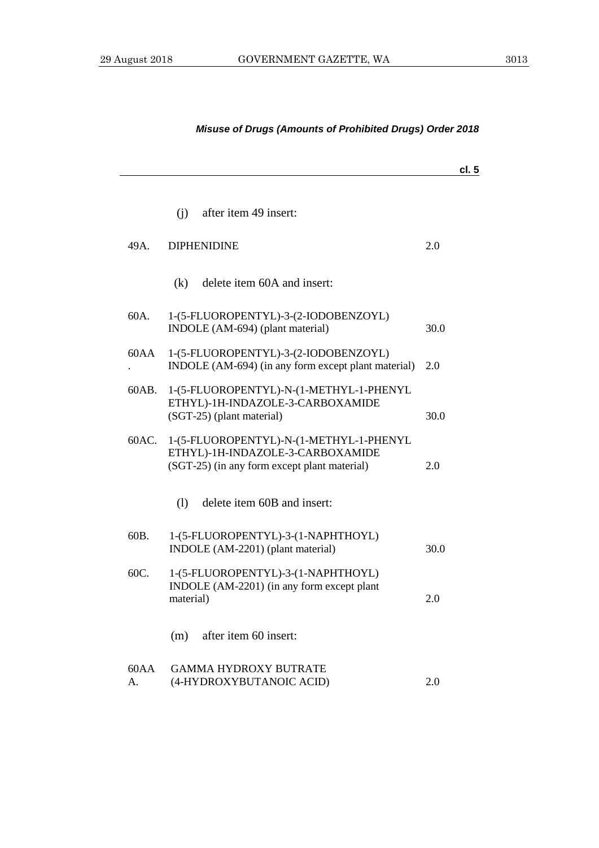## **cl. 5** (j) after item 49 insert: 49A. DIPHENIDINE 2.0 (k) delete item 60A and insert: 60A. 1-(5-FLUOROPENTYL)-3-(2-IODOBENZOYL) INDOLE (AM-694) (plant material) 30.0 60AA . 1-(5-FLUOROPENTYL)-3-(2-IODOBENZOYL) INDOLE (AM-694) (in any form except plant material) 2.0 60AB. 1-(5-FLUOROPENTYL)-N-(1-METHYL-1-PHENYL ETHYL)-1H-INDAZOLE-3-CARBOXAMIDE (SGT-25) (plant material) 30.0 60AC. 1-(5-FLUOROPENTYL)-N-(1-METHYL-1-PHENYL ETHYL)-1H-INDAZOLE-3-CARBOXAMIDE (SGT-25) (in any form except plant material) 2.0 (l) delete item 60B and insert: 60B. 1-(5-FLUOROPENTYL)-3-(1-NAPHTHOYL) INDOLE (AM-2201) (plant material) 30.0 60C. 1-(5-FLUOROPENTYL)-3-(1-NAPHTHOYL) INDOLE (AM-2201) (in any form except plant material) 2.0 (m) after item 60 insert: 60AA A. GAMMA HYDROXY BUTRATE (4-HYDROXYBUTANOIC ACID) 2.0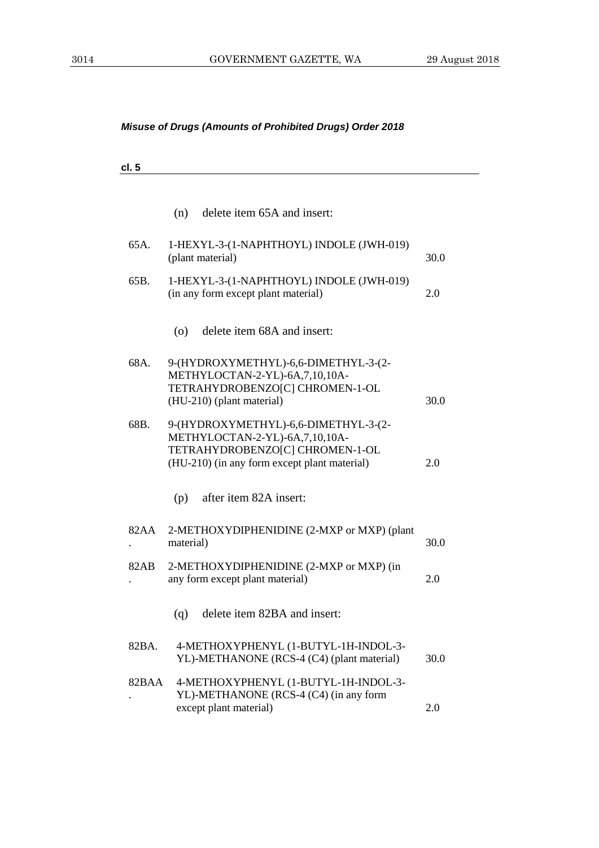**cl. 5**

|       | (n)<br>delete item 65A and insert:                                                                                                                        |      |
|-------|-----------------------------------------------------------------------------------------------------------------------------------------------------------|------|
| 65A.  | 1-HEXYL-3-(1-NAPHTHOYL) INDOLE (JWH-019)<br>(plant material)                                                                                              | 30.0 |
| 65B.  | 1-HEXYL-3-(1-NAPHTHOYL) INDOLE (JWH-019)<br>(in any form except plant material)                                                                           | 2.0  |
|       | delete item 68A and insert:<br>(0)                                                                                                                        |      |
| 68A.  | 9-(HYDROXYMETHYL)-6,6-DIMETHYL-3-(2-<br>METHYLOCTAN-2-YL)-6A,7,10,10A-<br>TETRAHYDROBENZO[C] CHROMEN-1-OL<br>(HU-210) (plant material)                    | 30.0 |
| 68B.  | 9-(HYDROXYMETHYL)-6,6-DIMETHYL-3-(2-<br>METHYLOCTAN-2-YL)-6A,7,10,10A-<br>TETRAHYDROBENZO[C] CHROMEN-1-OL<br>(HU-210) (in any form except plant material) | 2.0  |
|       | after item 82A insert:<br>(p)                                                                                                                             |      |
| 82AA  | 2-METHOXYDIPHENIDINE (2-MXP or MXP) (plant<br>material)                                                                                                   | 30.0 |
| 82AB  | 2-METHOXYDIPHENIDINE (2-MXP or MXP) (in<br>any form except plant material)                                                                                | 2.0  |
|       | delete item 82BA and insert:<br>(q)                                                                                                                       |      |
| 82BA. | 4-METHOXYPHENYL (1-BUTYL-1H-INDOL-3-<br>YL)-METHANONE (RCS-4 (C4) (plant material)                                                                        | 30.0 |
| 82BAA | 4-METHOXYPHENYL (1-BUTYL-1H-INDOL-3-<br>YL)-METHANONE (RCS-4 (C4) (in any form<br>except plant material)                                                  | 2.0  |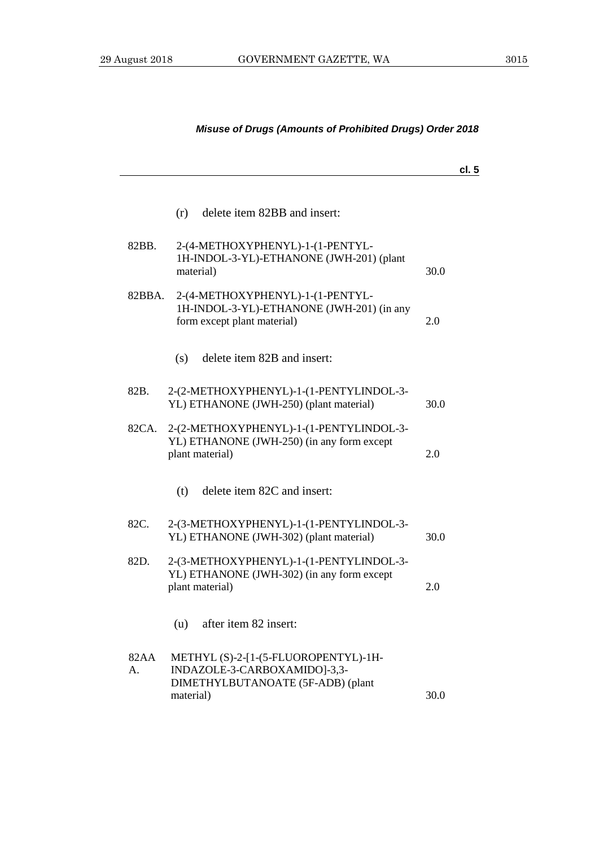## **cl. 5** (r) delete item 82BB and insert: 82BB. 2-(4-METHOXYPHENYL)-1-(1-PENTYL-1H-INDOL-3-YL)-ETHANONE (JWH-201) (plant material) 30.0 82BBA. 2-(4-METHOXYPHENYL)-1-(1-PENTYL-1H-INDOL-3-YL)-ETHANONE (JWH-201) (in any form except plant material) 2.0 (s) delete item 82B and insert: 82B. 2-(2-METHOXYPHENYL)-1-(1-PENTYLINDOL-3- YL) ETHANONE (JWH-250) (plant material) 30.0 82CA. 2-(2-METHOXYPHENYL)-1-(1-PENTYLINDOL-3- YL) ETHANONE (JWH-250) (in any form except plant material) 2.0 (t) delete item 82C and insert: 82C. 2-(3-METHOXYPHENYL)-1-(1-PENTYLINDOL-3- YL) ETHANONE (JWH-302) (plant material) 30.0 82D. 2-(3-METHOXYPHENYL)-1-(1-PENTYLINDOL-3- YL) ETHANONE (JWH-302) (in any form except plant material) 2.0 (u) after item 82 insert: 82AA A. METHYL (S)-2-[1-(5-FLUOROPENTYL)-1H-INDAZOLE-3-CARBOXAMIDO]-3,3- DIMETHYLBUTANOATE (5F-ADB) (plant

material) 30.0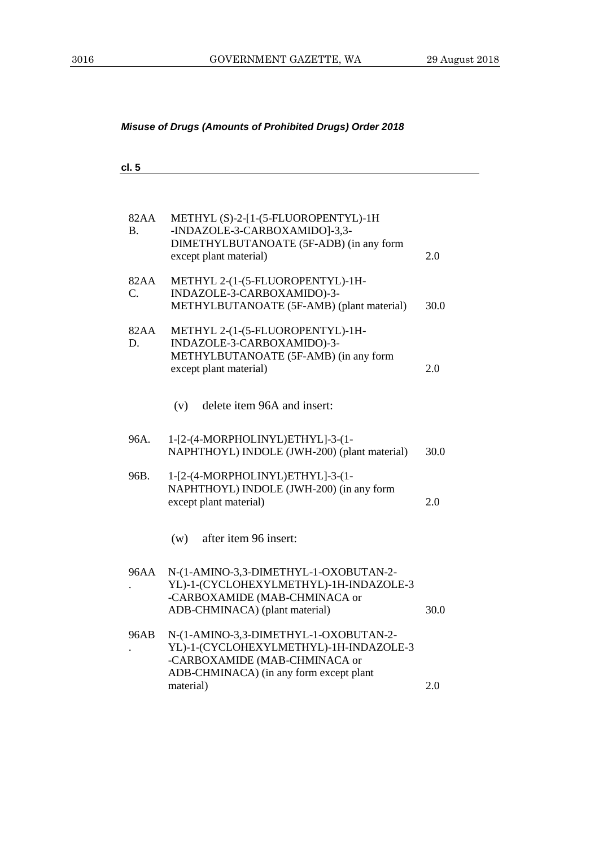$\overline{\phantom{0}}$ 

| cl. 5             |                                                                                                                                                             |      |
|-------------------|-------------------------------------------------------------------------------------------------------------------------------------------------------------|------|
|                   |                                                                                                                                                             |      |
| 82AA<br><b>B.</b> | METHYL (S)-2-[1-(5-FLUOROPENTYL)-1H<br>-INDAZOLE-3-CARBOXAMIDO]-3,3-<br>DIMETHYLBUTANOATE (5F-ADB) (in any form<br>except plant material)                   | 2.0  |
| 82AA<br>C.        | METHYL 2-(1-(5-FLUOROPENTYL)-1H-<br>INDAZOLE-3-CARBOXAMIDO)-3-<br>METHYLBUTANOATE (5F-AMB) (plant material)                                                 | 30.0 |
| 82AA<br>D.        | METHYL 2-(1-(5-FLUOROPENTYL)-1H-<br>INDAZOLE-3-CARBOXAMIDO)-3-<br>METHYLBUTANOATE (5F-AMB) (in any form<br>except plant material)                           | 2.0  |
|                   | delete item 96A and insert:<br>(v)                                                                                                                          |      |
| 96A.              | 1-[2-(4-MORPHOLINYL)ETHYL]-3-(1-<br>NAPHTHOYL) INDOLE (JWH-200) (plant material)                                                                            | 30.0 |
| 96B.              | 1-[2-(4-MORPHOLINYL)ETHYL]-3-(1-<br>NAPHTHOYL) INDOLE (JWH-200) (in any form<br>except plant material)                                                      | 2.0  |
|                   | after item 96 insert:<br>(w)                                                                                                                                |      |
| 96AA              | N-(1-AMINO-3,3-DIMETHYL-1-OXOBUTAN-2-<br>YL)-1-(CYCLOHEXYLMETHYL)-1H-INDAZOLE-3<br>-CARBOXAMIDE (MAB-CHMINACA or<br>ADB-CHMINACA) (plant material)          | 30.0 |
| 96AB              | N-(1-AMINO-3,3-DIMETHYL-1-OXOBUTAN-2-<br>YL)-1-(CYCLOHEXYLMETHYL)-1H-INDAZOLE-3<br>-CARBOXAMIDE (MAB-CHMINACA or<br>ADB-CHMINACA) (in any form except plant |      |
|                   | material)                                                                                                                                                   | 2.0  |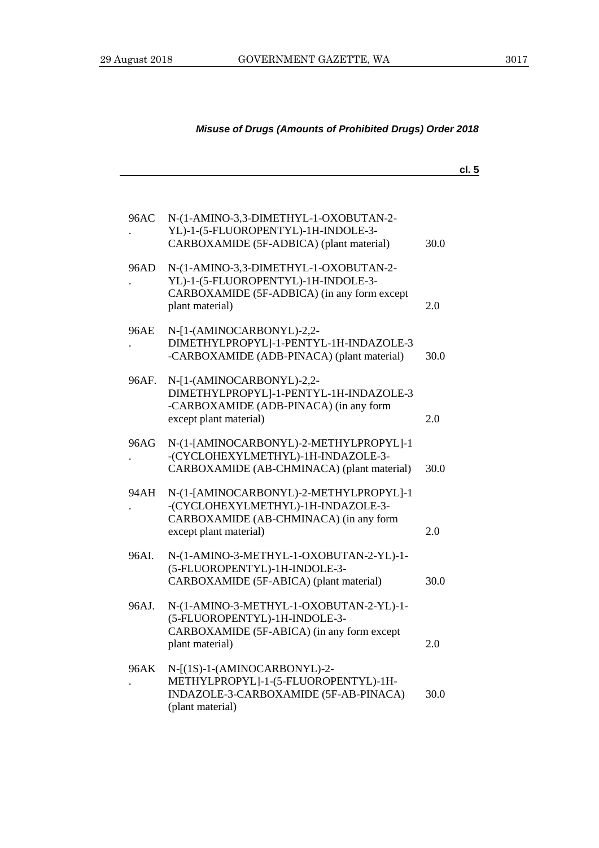|       |                                                                                                                                                  |      | cl. 5 |
|-------|--------------------------------------------------------------------------------------------------------------------------------------------------|------|-------|
| 96AC  | N-(1-AMINO-3,3-DIMETHYL-1-OXOBUTAN-2-                                                                                                            |      |       |
|       | YL)-1-(5-FLUOROPENTYL)-1H-INDOLE-3-<br>CARBOXAMIDE (5F-ADBICA) (plant material)                                                                  | 30.0 |       |
| 96AD  | N-(1-AMINO-3,3-DIMETHYL-1-OXOBUTAN-2-<br>YL)-1-(5-FLUOROPENTYL)-1H-INDOLE-3-<br>CARBOXAMIDE (5F-ADBICA) (in any form except<br>plant material)   | 2.0  |       |
| 96AE  | N-[1-(AMINOCARBONYL)-2,2-<br>DIMETHYLPROPYL]-1-PENTYL-1H-INDAZOLE-3<br>-CARBOXAMIDE (ADB-PINACA) (plant material)                                | 30.0 |       |
| 96AF. | N-[1-(AMINOCARBONYL)-2,2-<br>DIMETHYLPROPYL]-1-PENTYL-1H-INDAZOLE-3<br>-CARBOXAMIDE (ADB-PINACA) (in any form<br>except plant material)          | 2.0  |       |
| 96AG  | N-(1-[AMINOCARBONYL)-2-METHYLPROPYL]-1<br>-(CYCLOHEXYLMETHYL)-1H-INDAZOLE-3-<br>CARBOXAMIDE (AB-CHMINACA) (plant material)                       | 30.0 |       |
| 94AH  | N-(1-[AMINOCARBONYL)-2-METHYLPROPYL]-1<br>-(CYCLOHEXYLMETHYL)-1H-INDAZOLE-3-<br>CARBOXAMIDE (AB-CHMINACA) (in any form<br>except plant material) | 2.0  |       |
| 96AI. | N-(1-AMINO-3-METHYL-1-OXOBUTAN-2-YL)-1-<br>(5-FLUOROPENTYL)-1H-INDOLE-3-<br>CARBOXAMIDE (5F-ABICA) (plant material)                              | 30.0 |       |
| 96AJ. | N-(1-AMINO-3-METHYL-1-OXOBUTAN-2-YL)-1-<br>(5-FLUOROPENTYL)-1H-INDOLE-3-<br>CARBOXAMIDE (5F-ABICA) (in any form except<br>plant material)        | 2.0  |       |
| 96AK  | N-[(1S)-1-(AMINOCARBONYL)-2-<br>METHYLPROPYL]-1-(5-FLUOROPENTYL)-1H-<br>INDAZOLE-3-CARBOXAMIDE (5F-AB-PINACA)<br>(plant material)                | 30.0 |       |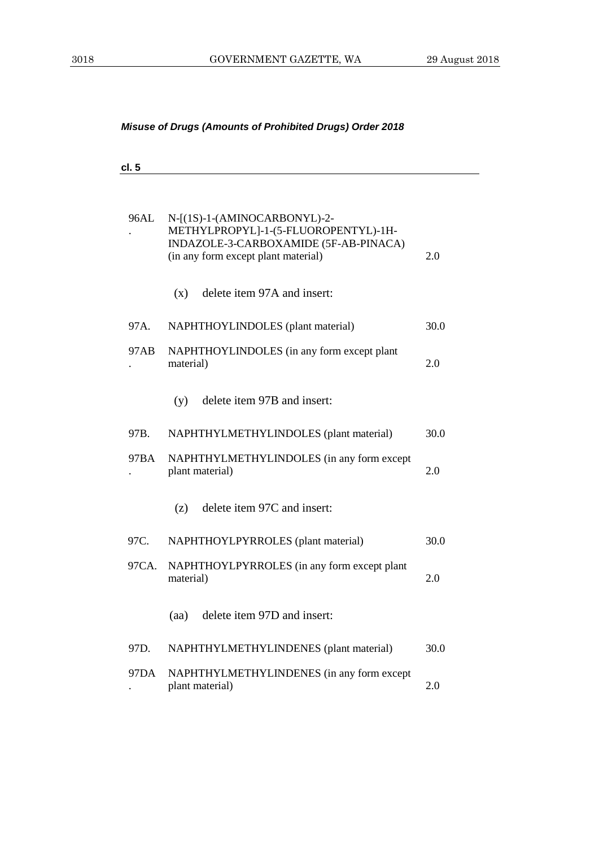| cl. 5 |                                                                                                                      |      |
|-------|----------------------------------------------------------------------------------------------------------------------|------|
|       | 96AL N-[(1S)-1-(AMINOCARBONYL)-2-                                                                                    |      |
|       | METHYLPROPYL]-1-(5-FLUOROPENTYL)-1H-<br>INDAZOLE-3-CARBOXAMIDE (5F-AB-PINACA)<br>(in any form except plant material) | 2.0  |
|       | delete item 97A and insert:<br>(x)                                                                                   |      |
| 97A.  | NAPHTHOYLINDOLES (plant material)                                                                                    | 30.0 |
| 97AB  | NAPHTHOYLINDOLES (in any form except plant<br>material)                                                              | 2.0  |
|       | delete item 97B and insert:<br>(y)                                                                                   |      |
| 97B.  | NAPHTHYLMETHYLINDOLES (plant material)                                                                               | 30.0 |
| 97BA  | NAPHTHYLMETHYLINDOLES (in any form except<br>plant material)                                                         | 2.0  |
|       | delete item 97C and insert:<br>(z)                                                                                   |      |
| 97C.  | NAPHTHOYLPYRROLES (plant material)                                                                                   | 30.0 |
| 97CA. | NAPHTHOYLPYRROLES (in any form except plant<br>material)                                                             | 2.0  |
|       | (aa) delete item 97D and insert:                                                                                     |      |
| 97D.  | NAPHTHYLMETHYLINDENES (plant material)                                                                               | 30.0 |
| 97DA  | NAPHTHYLMETHYLINDENES (in any form except<br>plant material)                                                         | 2.0  |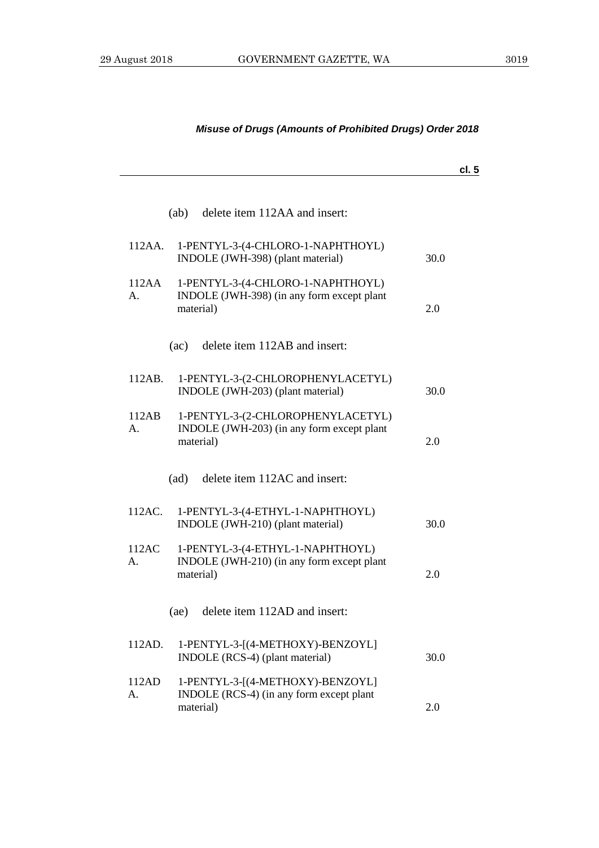## **cl. 5** (ab) delete item 112AA and insert: 112AA. 1-PENTYL-3-(4-CHLORO-1-NAPHTHOYL) INDOLE (JWH-398) (plant material) 30.0 112AA A. 1-PENTYL-3-(4-CHLORO-1-NAPHTHOYL) INDOLE (JWH-398) (in any form except plant material) 2.0 (ac) delete item 112AB and insert: 112AB. 1-PENTYL-3-(2-CHLOROPHENYLACETYL) INDOLE (JWH-203) (plant material) 30.0 112AB A. 1-PENTYL-3-(2-CHLOROPHENYLACETYL) INDOLE (JWH-203) (in any form except plant material) 2.0 (ad) delete item 112AC and insert: 112AC. 1-PENTYL-3-(4-ETHYL-1-NAPHTHOYL) INDOLE (JWH-210) (plant material) 30.0 112AC A. 1-PENTYL-3-(4-ETHYL-1-NAPHTHOYL) INDOLE (JWH-210) (in any form except plant material) 2.0 (ae) delete item 112AD and insert: 112AD. 1-PENTYL-3-[(4-METHOXY)-BENZOYL] INDOLE (RCS-4) (plant material) 30.0 112AD A. 1-PENTYL-3-[(4-METHOXY)-BENZOYL] INDOLE (RCS-4) (in any form except plant material) 2.0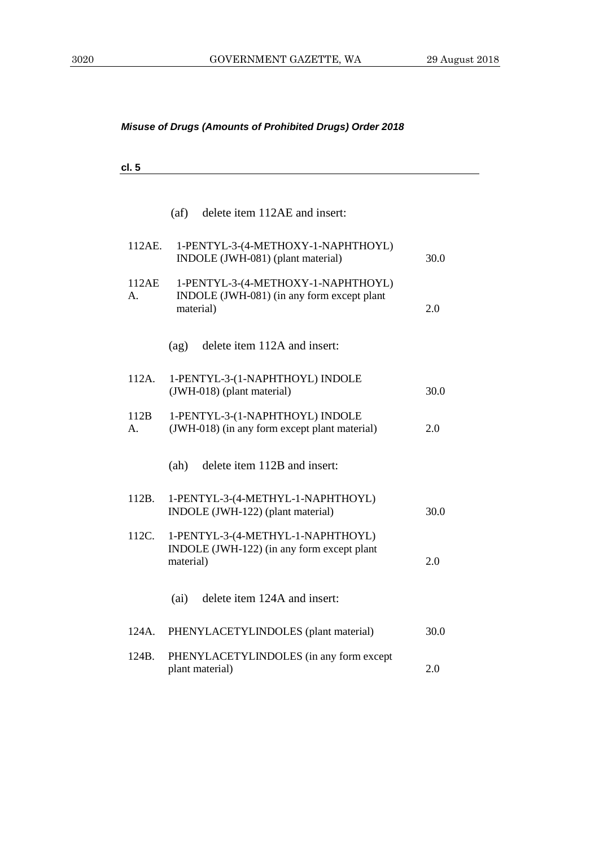| ×<br>۰,<br>۰. |  |
|---------------|--|
|---------------|--|

|             | (af)      | delete item 112AE and insert:                                                    |      |
|-------------|-----------|----------------------------------------------------------------------------------|------|
| 112AE.      |           | 1-PENTYL-3-(4-METHOXY-1-NAPHTHOYL)<br>INDOLE (JWH-081) (plant material)          | 30.0 |
| 112AE<br>А. | material) | 1-PENTYL-3-(4-METHOXY-1-NAPHTHOYL)<br>INDOLE (JWH-081) (in any form except plant | 2.0  |
|             | (ag)      | delete item 112A and insert:                                                     |      |
| 112A.       |           | 1-PENTYL-3-(1-NAPHTHOYL) INDOLE<br>(JWH-018) (plant material)                    | 30.0 |
| 112B<br>А.  |           | 1-PENTYL-3-(1-NAPHTHOYL) INDOLE<br>(JWH-018) (in any form except plant material) | 2.0  |
|             | (ah)      | delete item 112B and insert:                                                     |      |
| 112B.       |           | 1-PENTYL-3-(4-METHYL-1-NAPHTHOYL)<br>INDOLE (JWH-122) (plant material)           | 30.0 |
| 112C.       | material) | 1-PENTYL-3-(4-METHYL-1-NAPHTHOYL)<br>INDOLE (JWH-122) (in any form except plant  | 2.0  |
|             | (ai)      | delete item 124A and insert:                                                     |      |
| 124A.       |           | PHENYLACETYLINDOLES (plant material)                                             | 30.0 |
| 124B.       |           | PHENYLACETYLINDOLES (in any form except<br>plant material)                       | 2.0  |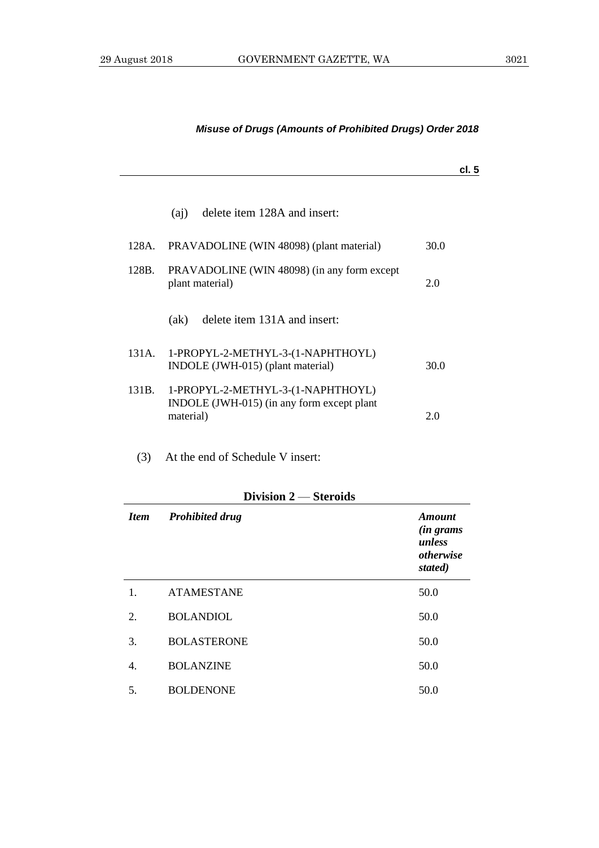|       |                                                                                              |      | cl. 5 |
|-------|----------------------------------------------------------------------------------------------|------|-------|
|       | delete item 128A and insert:<br>(ai)                                                         |      |       |
| 128A. | PRAVADOLINE (WIN 48098) (plant material)                                                     | 30.0 |       |
| 128B. | PRAVADOLINE (WIN 48098) (in any form except<br>plant material)                               | 2.0  |       |
|       | delete item 131A and insert:<br>(ak)                                                         |      |       |
| 131A. | 1-PROPYL-2-METHYL-3-(1-NAPHTHOYL)<br>INDOLE (JWH-015) (plant material)                       | 30.0 |       |
| 131B. | 1-PROPYL-2-METHYL-3-(1-NAPHTHOYL)<br>INDOLE (JWH-015) (in any form except plant<br>material) | 2.0  |       |

(3) At the end of Schedule V insert:

## **Division 2** — **Steroids**

| <b>Item</b> | <b>Prohibited drug</b> | <b>Amount</b><br><i>(in grams)</i><br>unless<br>otherwise<br>stated) |
|-------------|------------------------|----------------------------------------------------------------------|
| 1.          | <b>ATAMESTANE</b>      | 50.0                                                                 |
| 2.          | <b>BOLANDIOL</b>       | 50.0                                                                 |
| 3.          | <b>BOLASTERONE</b>     | 50.0                                                                 |
| 4.          | <b>BOLANZINE</b>       | 50.0                                                                 |
| 5.          | <b>BOLDENONE</b>       | 50.0                                                                 |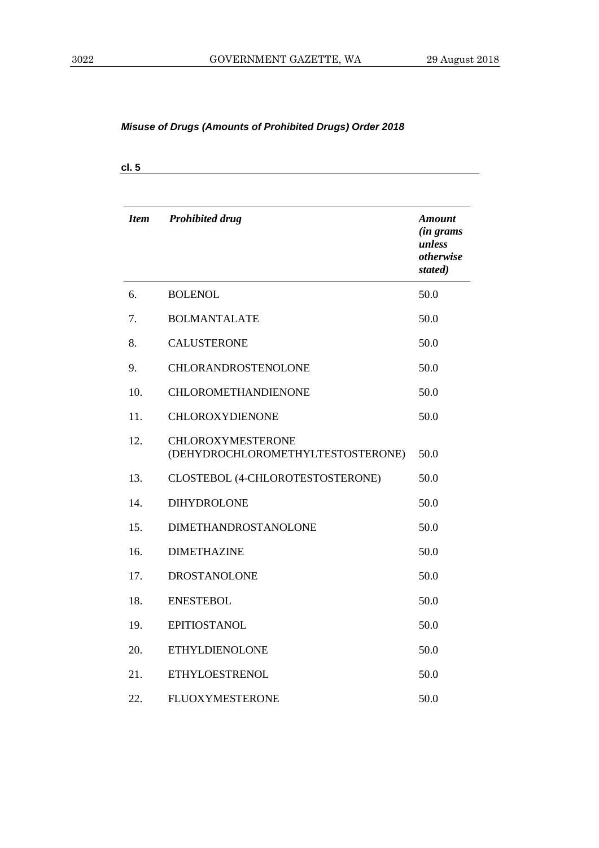| <b>Item</b> | <b>Prohibited drug</b>                                        | <b>Amount</b><br>(in grams<br>unless<br>otherwise<br>stated) |
|-------------|---------------------------------------------------------------|--------------------------------------------------------------|
| 6.          | <b>BOLENOL</b>                                                | 50.0                                                         |
| 7.          | <b>BOLMANTALATE</b>                                           | 50.0                                                         |
| 8.          | <b>CALUSTERONE</b>                                            | 50.0                                                         |
| 9.          | CHLORANDROSTENOLONE                                           | 50.0                                                         |
| 10.         | <b>CHLOROMETHANDIENONE</b>                                    | 50.0                                                         |
| 11.         | CHLOROXYDIENONE                                               | 50.0                                                         |
| 12.         | <b>CHLOROXYMESTERONE</b><br>(DEHYDROCHLOROMETHYLTESTOSTERONE) | 50.0                                                         |
| 13.         | CLOSTEBOL (4-CHLOROTESTOSTERONE)                              | 50.0                                                         |
| 14.         | <b>DIHYDROLONE</b>                                            | 50.0                                                         |
| 15.         | DIMETHANDROSTANOLONE                                          | 50.0                                                         |
| 16.         | <b>DIMETHAZINE</b>                                            | 50.0                                                         |
| 17.         | <b>DROSTANOLONE</b>                                           | 50.0                                                         |
| 18.         | <b>ENESTEBOL</b>                                              | 50.0                                                         |
| 19.         | <b>EPITIOSTANOL</b>                                           | 50.0                                                         |
| 20.         | <b>ETHYLDIENOLONE</b>                                         | 50.0                                                         |
| 21.         | <b>ETHYLOESTRENOL</b>                                         | 50.0                                                         |
| 22.         | FLUOXYMESTERONE                                               | 50.0                                                         |

**cl. 5**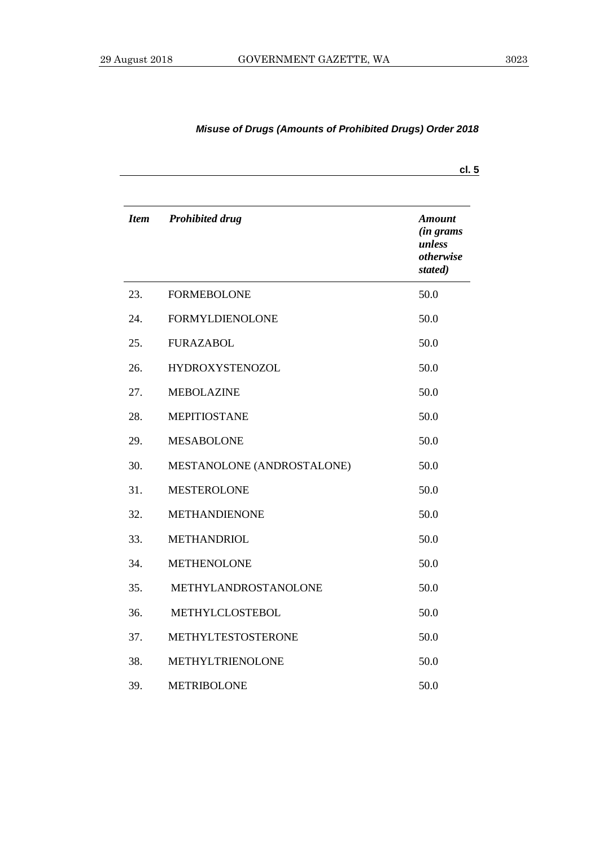|             |                            | cl.5                                                         |
|-------------|----------------------------|--------------------------------------------------------------|
| <b>Item</b> | <b>Prohibited drug</b>     | Amount<br><i>(in grams</i><br>unless<br>otherwise<br>stated) |
| 23.         | <b>FORMEBOLONE</b>         | 50.0                                                         |
| 24.         | <b>FORMYLDIENOLONE</b>     | 50.0                                                         |
| 25.         | <b>FURAZABOL</b>           | 50.0                                                         |
| 26.         | <b>HYDROXYSTENOZOL</b>     | 50.0                                                         |
| 27.         | <b>MEBOLAZINE</b>          | 50.0                                                         |
| 28.         | <b>MEPITIOSTANE</b>        | 50.0                                                         |
| 29.         | <b>MESABOLONE</b>          | 50.0                                                         |
| 30.         | MESTANOLONE (ANDROSTALONE) | 50.0                                                         |
| 31.         | <b>MESTEROLONE</b>         | 50.0                                                         |
| 32.         | <b>METHANDIENONE</b>       | 50.0                                                         |
| 33.         | <b>METHANDRIOL</b>         | 50.0                                                         |
| 34.         | <b>METHENOLONE</b>         | 50.0                                                         |
| 35.         | METHYLANDROSTANOLONE       | 50.0                                                         |
| 36.         | METHYLCLOSTEBOL            | 50.0                                                         |
| 37.         | METHYLTESTOSTERONE         | 50.0                                                         |
| 38.         | METHYLTRIENOLONE           | 50.0                                                         |
| 39.         | <b>METRIBOLONE</b>         | 50.0                                                         |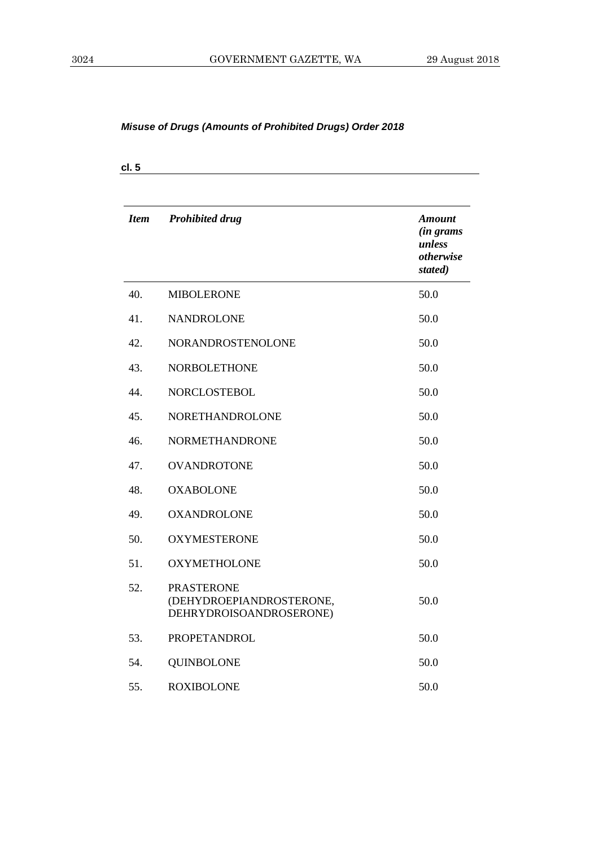| <b>Item</b> | <b>Prohibited drug</b>                                                   | <b>Amount</b><br><i>(in grams</i><br>unless<br>otherwise<br>stated) |
|-------------|--------------------------------------------------------------------------|---------------------------------------------------------------------|
| 40.         | <b>MIBOLERONE</b>                                                        | 50.0                                                                |
| 41.         | <b>NANDROLONE</b>                                                        | 50.0                                                                |
| 42.         | NORANDROSTENOLONE                                                        | 50.0                                                                |
| 43.         | <b>NORBOLETHONE</b>                                                      | 50.0                                                                |
| 44.         | <b>NORCLOSTEBOL</b>                                                      | 50.0                                                                |
| 45.         | NORETHANDROLONE                                                          | 50.0                                                                |
| 46.         | <b>NORMETHANDRONE</b>                                                    | 50.0                                                                |
| 47.         | <b>OVANDROTONE</b>                                                       | 50.0                                                                |
| 48.         | <b>OXABOLONE</b>                                                         | 50.0                                                                |
| 49.         | <b>OXANDROLONE</b>                                                       | 50.0                                                                |
| 50.         | <b>OXYMESTERONE</b>                                                      | 50.0                                                                |
| 51.         | <b>OXYMETHOLONE</b>                                                      | 50.0                                                                |
| 52.         | <b>PRASTERONE</b><br>(DEHYDROEPIANDROSTERONE,<br>DEHRYDROISOANDROSERONE) | 50.0                                                                |
| 53.         | <b>PROPETANDROL</b>                                                      | 50.0                                                                |
| 54.         | <b>QUINBOLONE</b>                                                        | 50.0                                                                |
| 55.         | <b>ROXIBOLONE</b>                                                        | 50.0                                                                |

**cl. 5**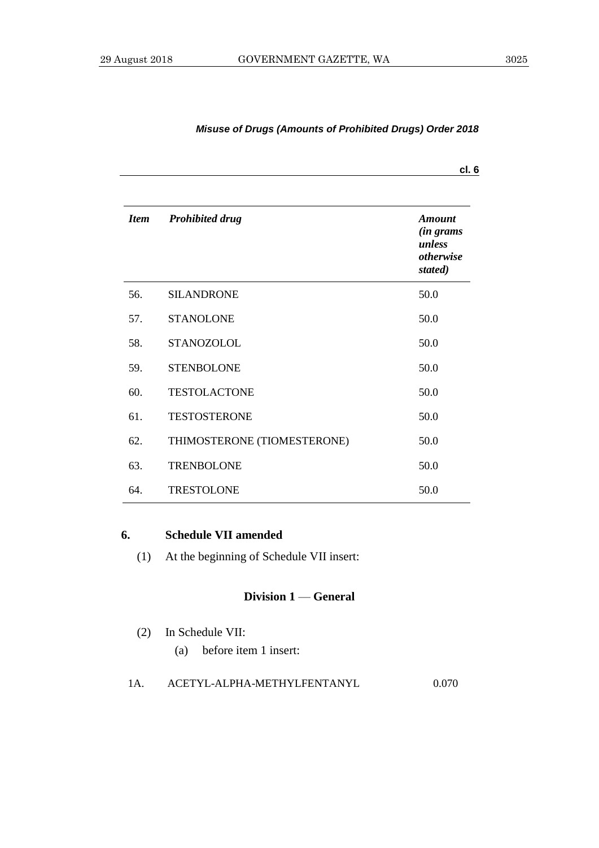|             |                             | cl. 6                                                                      |
|-------------|-----------------------------|----------------------------------------------------------------------------|
| <b>Item</b> | <b>Prohibited drug</b>      | <b>Amount</b><br><i>(in grams</i><br>unless<br><i>otherwise</i><br>stated) |
| 56.         | <b>SILANDRONE</b>           | 50.0                                                                       |
| 57.         | <b>STANOLONE</b>            | 50.0                                                                       |
| 58.         | <b>STANOZOLOL</b>           | 50.0                                                                       |
| 59.         | <b>STENBOLONE</b>           | 50.0                                                                       |
| 60.         | <b>TESTOLACTONE</b>         | 50.0                                                                       |
| 61.         | <b>TESTOSTERONE</b>         | 50.0                                                                       |
| 62.         | THIMOSTERONE (TIOMESTERONE) | 50.0                                                                       |
| 63.         | <b>TRENBOLONE</b>           | 50.0                                                                       |
| 64.         | <b>TRESTOLONE</b>           | 50.0                                                                       |

#### **6. Schedule VII amended**

(1) At the beginning of Schedule VII insert:

#### **Division 1** — **General**

- (2) In Schedule VII: (a) before item 1 insert:
- 1A. ACETYL-ALPHA-METHYLFENTANYL 0.070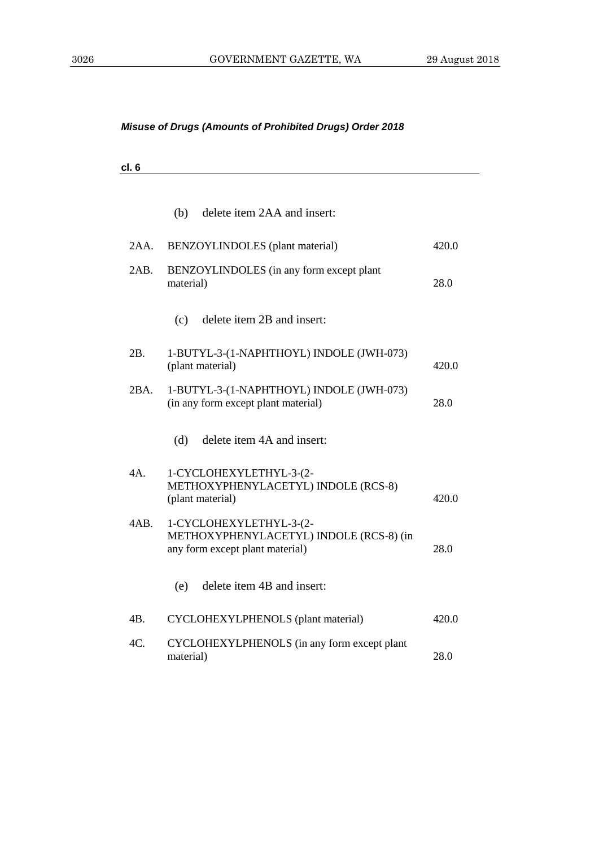**cl. 6**

|      | (b) delete item 2AA and insert:                                                                       |       |
|------|-------------------------------------------------------------------------------------------------------|-------|
| 2AA. | BENZOYLINDOLES (plant material)                                                                       | 420.0 |
| 2AB. | BENZOYLINDOLES (in any form except plant<br>material)                                                 | 28.0  |
|      | delete item 2B and insert:<br>(c)                                                                     |       |
| 2B.  | 1-BUTYL-3-(1-NAPHTHOYL) INDOLE (JWH-073)<br>(plant material)                                          | 420.0 |
| 2BA. | 1-BUTYL-3-(1-NAPHTHOYL) INDOLE (JWH-073)<br>(in any form except plant material)                       | 28.0  |
|      | delete item 4A and insert:<br>(d)                                                                     |       |
| 4A.  | 1-CYCLOHEXYLETHYL-3-(2-<br>METHOXYPHENYLACETYL) INDOLE (RCS-8)<br>(plant material)                    | 420.0 |
| 4AB. | 1-CYCLOHEXYLETHYL-3-(2-<br>METHOXYPHENYLACETYL) INDOLE (RCS-8) (in<br>any form except plant material) | 28.0  |
|      | delete item 4B and insert:<br>(e)                                                                     |       |
| 4В.  | CYCLOHEXYLPHENOLS (plant material)                                                                    | 420.0 |
| 4C.  | CYCLOHEXYLPHENOLS (in any form except plant<br>material)                                              | 28.0  |
|      |                                                                                                       |       |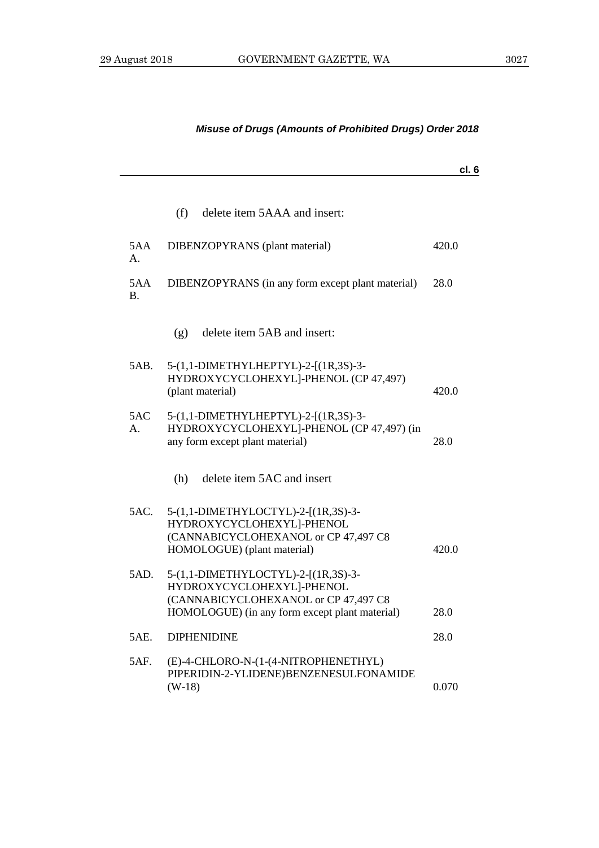|                  |                                                                                                                                                            | cl. 6 |
|------------------|------------------------------------------------------------------------------------------------------------------------------------------------------------|-------|
|                  | (f)<br>delete item 5AAA and insert:                                                                                                                        |       |
| 5AA<br>А.        | DIBENZOPYRANS (plant material)                                                                                                                             | 420.0 |
| 5AA<br><b>B.</b> | DIBENZOPYRANS (in any form except plant material)                                                                                                          | 28.0  |
|                  | delete item 5AB and insert:<br>(g)                                                                                                                         |       |
| 5AB.             | 5-(1,1-DIMETHYLHEPTYL)-2-[(1R,3S)-3-<br>HYDROXYCYCLOHEXYL]-PHENOL (CP 47,497)<br>(plant material)                                                          | 420.0 |
| 5AC<br>A.        | 5-(1,1-DIMETHYLHEPTYL)-2-[(1R,3S)-3-<br>HYDROXYCYCLOHEXYL]-PHENOL (CP 47,497) (in<br>any form except plant material)                                       | 28.0  |
|                  | delete item 5AC and insert<br>(h)                                                                                                                          |       |
| 5AC.             | 5-(1,1-DIMETHYLOCTYL)-2-[(1R,3S)-3-<br>HYDROXYCYCLOHEXYL]-PHENOL<br>(CANNABICYCLOHEXANOL or CP 47,497 C8<br>HOMOLOGUE) (plant material)                    | 420.0 |
| 5AD.             | 5-(1,1-DIMETHYLOCTYL)-2-[(1R,3S)-3-<br>HYDROXYCYCLOHEXYL]-PHENOL<br>(CANNABICYCLOHEXANOL or CP 47,497 C8<br>HOMOLOGUE) (in any form except plant material) | 28.0  |
| 5AE.             | <b>DIPHENIDINE</b>                                                                                                                                         | 28.0  |
| 5AF.             | (E)-4-CHLORO-N-(1-(4-NITROPHENETHYL)<br>PIPERIDIN-2-YLIDENE)BENZENESULFONAMIDE<br>$(W-18)$                                                                 | 0.070 |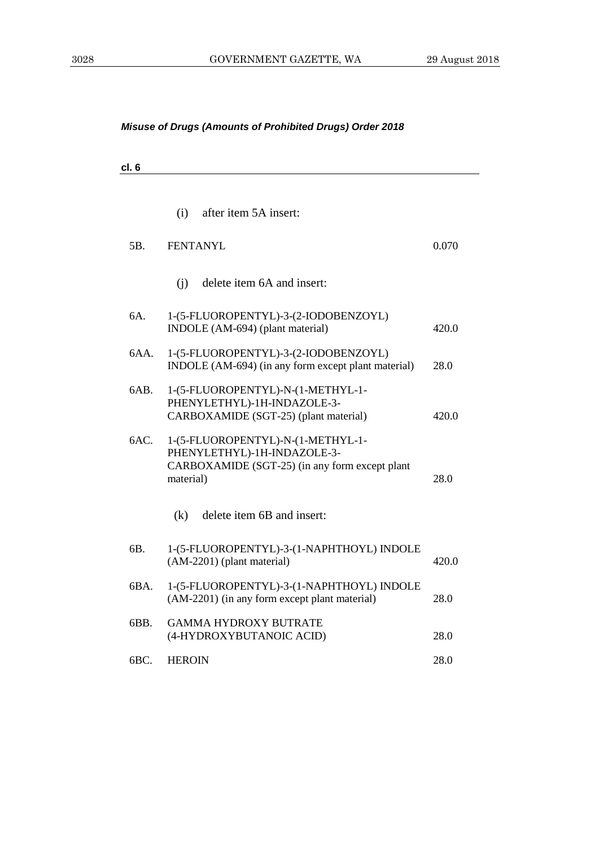| cl.6 |                                                                                                                                 |       |
|------|---------------------------------------------------------------------------------------------------------------------------------|-------|
|      |                                                                                                                                 |       |
|      | after item 5A insert:<br>(i)                                                                                                    |       |
| 5B.  | <b>FENTANYL</b>                                                                                                                 | 0.070 |
|      | delete item 6A and insert:<br>(i)                                                                                               |       |
| 6A.  | 1-(5-FLUOROPENTYL)-3-(2-IODOBENZOYL)<br>INDOLE (AM-694) (plant material)                                                        | 420.0 |
| 6AA. | 1-(5-FLUOROPENTYL)-3-(2-IODOBENZOYL)<br>INDOLE (AM-694) (in any form except plant material)                                     | 28.0  |
| 6AB. | 1-(5-FLUOROPENTYL)-N-(1-METHYL-1-<br>PHENYLETHYL)-1H-INDAZOLE-3-<br>CARBOXAMIDE (SGT-25) (plant material)                       | 420.0 |
| 6AC. | 1-(5-FLUOROPENTYL)-N-(1-METHYL-1-<br>PHENYLETHYL)-1H-INDAZOLE-3-<br>CARBOXAMIDE (SGT-25) (in any form except plant<br>material) | 28.0  |
|      | delete item 6B and insert:<br>(k)                                                                                               |       |
| 6B.  | 1-(5-FLUOROPENTYL)-3-(1-NAPHTHOYL) INDOLE<br>(AM-2201) (plant material)                                                         | 420.0 |
| 6BA. | 1-(5-FLUOROPENTYL)-3-(1-NAPHTHOYL) INDOLE<br>(AM-2201) (in any form except plant material)                                      | 28.0  |
| 6BB. | <b>GAMMA HYDROXY BUTRATE</b><br>(4-HYDROXYBUTANOIC ACID)                                                                        | 28.0  |
| 6BC. | <b>HEROIN</b>                                                                                                                   | 28.0  |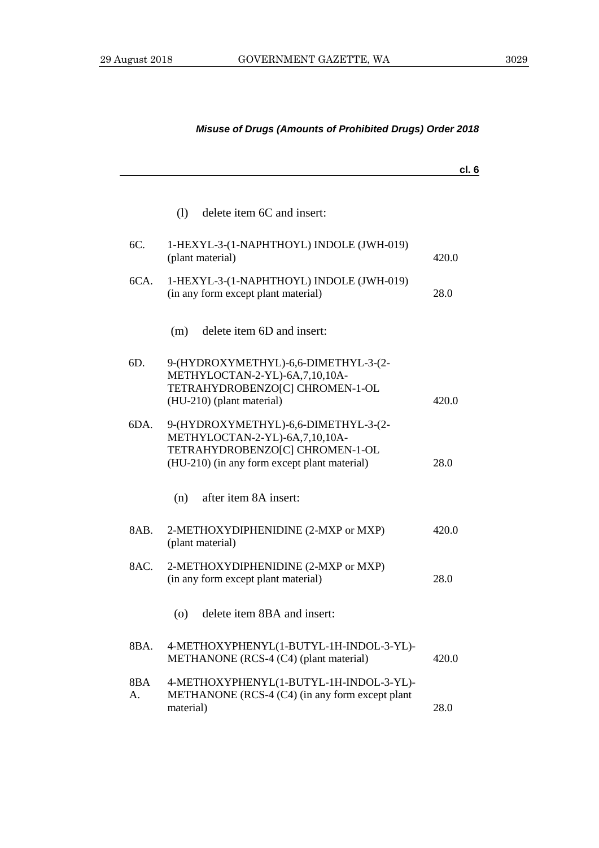## **cl. 6** (l) delete item 6C and insert: 6C. 1-HEXYL-3-(1-NAPHTHOYL) INDOLE (JWH-019) (plant material) 420.0 6CA. 1-HEXYL-3-(1-NAPHTHOYL) INDOLE (JWH-019) (in any form except plant material) 28.0 (m) delete item 6D and insert: 6D. 9-(HYDROXYMETHYL)-6,6-DIMETHYL-3-(2- METHYLOCTAN-2-YL)-6A,7,10,10A-TETRAHYDROBENZO[C] CHROMEN-1-OL (HU-210) (plant material) 420.0 6DA. 9-(HYDROXYMETHYL)-6,6-DIMETHYL-3-(2- METHYLOCTAN-2-YL)-6A,7,10,10A-TETRAHYDROBENZO[C] CHROMEN-1-OL (HU-210) (in any form except plant material) 28.0 (n) after item 8A insert: 8AB. 2-METHOXYDIPHENIDINE (2-MXP or MXP) (plant material) 420.0 8AC. 2-METHOXYDIPHENIDINE (2-MXP or MXP) (in any form except plant material) 28.0 (o) delete item 8BA and insert: 8BA. 4-METHOXYPHENYL(1-BUTYL-1H-INDOL-3-YL)- METHANONE (RCS-4 (C4) (plant material) 420.0 8BA A. 4-METHOXYPHENYL(1-BUTYL-1H-INDOL-3-YL)- METHANONE (RCS-4 (C4) (in any form except plant material) 28.0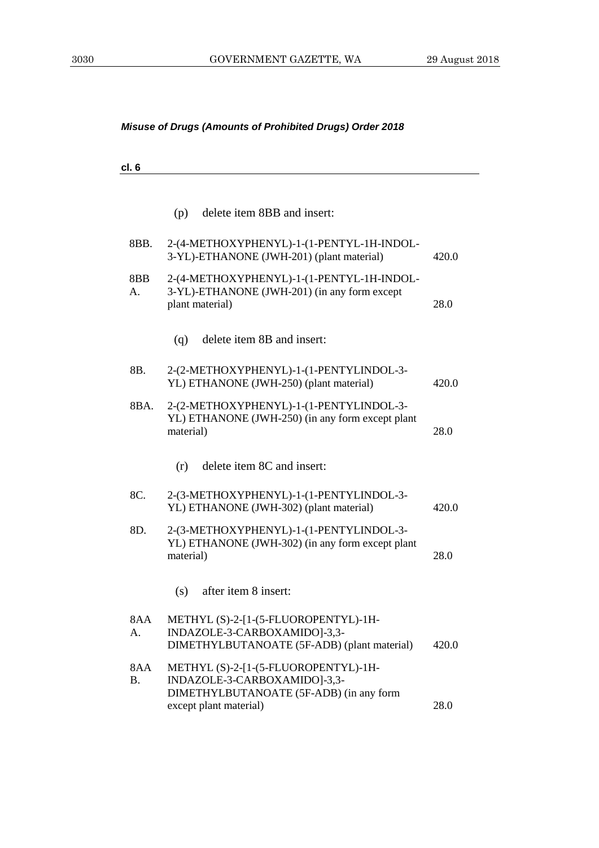| l<br>⋯ |
|--------|
|--------|

|           | delete item 8BB and insert:<br>(p)                                                                                  |       |
|-----------|---------------------------------------------------------------------------------------------------------------------|-------|
| 8BB.      | 2-(4-METHOXYPHENYL)-1-(1-PENTYL-1H-INDOL-<br>3-YL)-ETHANONE (JWH-201) (plant material)                              | 420.0 |
| 8BB<br>A. | 2-(4-METHOXYPHENYL)-1-(1-PENTYL-1H-INDOL-<br>3-YL)-ETHANONE (JWH-201) (in any form except<br>plant material)        | 28.0  |
|           | delete item 8B and insert:<br>(q)                                                                                   |       |
| 8B.       | 2-(2-METHOXYPHENYL)-1-(1-PENTYLINDOL-3-<br>YL) ETHANONE (JWH-250) (plant material)                                  | 420.0 |
| 8BA.      | 2-(2-METHOXYPHENYL)-1-(1-PENTYLINDOL-3-<br>YL) ETHANONE (JWH-250) (in any form except plant<br>material)            | 28.0  |
|           | delete item 8C and insert:<br>(r)                                                                                   |       |
| 8C.       | 2-(3-METHOXYPHENYL)-1-(1-PENTYLINDOL-3-<br>YL) ETHANONE (JWH-302) (plant material)                                  | 420.0 |
| 8D.       | 2-(3-METHOXYPHENYL)-1-(1-PENTYLINDOL-3-<br>YL) ETHANONE (JWH-302) (in any form except plant<br>material)            | 28.0  |
|           | (s)<br>after item 8 insert:                                                                                         |       |
| 8AA<br>A. | METHYL (S)-2-[1-(5-FLUOROPENTYL)-1H-<br>INDAZOLE-3-CARBOXAMIDO]-3,3-<br>DIMETHYLBUTANOATE (5F-ADB) (plant material) | 420.0 |
| 8AA<br>В. | METHYL (S)-2-[1-(5-FLUOROPENTYL)-1H-<br>INDAZOLE-3-CARBOXAMIDO]-3,3-<br>DIMETHYLBUTANOATE (5F-ADB) (in any form     |       |
|           | except plant material)                                                                                              | 28.0  |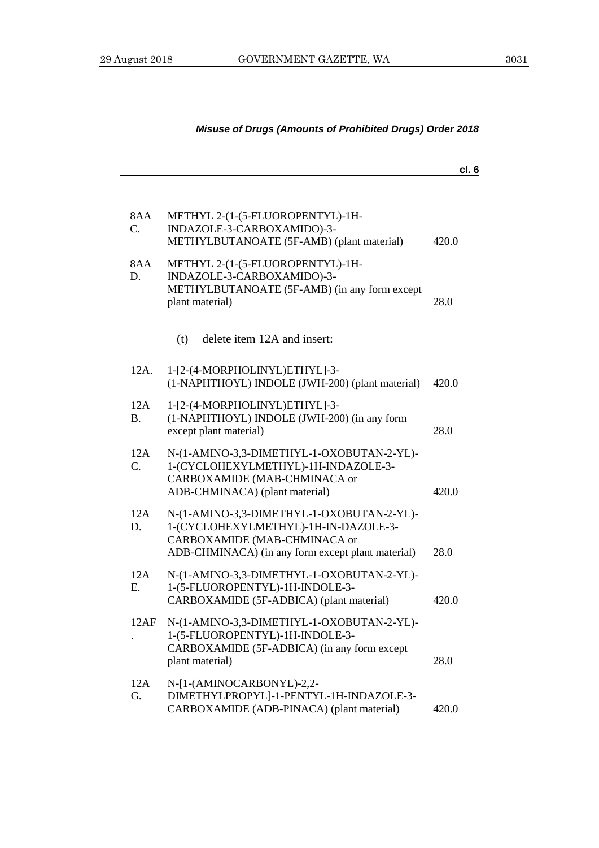**cl. 6**

| 8AA<br>$\mathbf{C}$ . | METHYL 2-(1-(5-FLUOROPENTYL)-1H-<br>INDAZOLE-3-CARBOXAMIDO)-3-<br>METHYLBUTANOATE (5F-AMB) (plant material)                                                            | 420.0 |
|-----------------------|------------------------------------------------------------------------------------------------------------------------------------------------------------------------|-------|
| 8AA<br>D.             | METHYL 2-(1-(5-FLUOROPENTYL)-1H-<br>INDAZOLE-3-CARBOXAMIDO)-3-<br>METHYLBUTANOATE (5F-AMB) (in any form except<br>plant material)                                      | 28.0  |
|                       | (t)<br>delete item 12A and insert:                                                                                                                                     |       |
| 12A.                  | 1-[2-(4-MORPHOLINYL)ETHYL]-3-<br>(1-NAPHTHOYL) INDOLE (JWH-200) (plant material)                                                                                       | 420.0 |
| 12A<br><b>B.</b>      | 1-[2-(4-MORPHOLINYL)ETHYL]-3-<br>(1-NAPHTHOYL) INDOLE (JWH-200) (in any form<br>except plant material)                                                                 | 28.0  |
| 12A<br>$C_{\cdot}$    | N-(1-AMINO-3,3-DIMETHYL-1-OXOBUTAN-2-YL)-<br>1-(CYCLOHEXYLMETHYL)-1H-INDAZOLE-3-<br>CARBOXAMIDE (MAB-CHMINACA or<br>ADB-CHMINACA) (plant material)                     | 420.0 |
| 12A<br>D.             | N-(1-AMINO-3,3-DIMETHYL-1-OXOBUTAN-2-YL)-<br>1-(CYCLOHEXYLMETHYL)-1H-IN-DAZOLE-3-<br>CARBOXAMIDE (MAB-CHMINACA or<br>ADB-CHMINACA) (in any form except plant material) | 28.0  |
| 12A<br>Ε.             | N-(1-AMINO-3,3-DIMETHYL-1-OXOBUTAN-2-YL)-<br>1-(5-FLUOROPENTYL)-1H-INDOLE-3-<br>CARBOXAMIDE (5F-ADBICA) (plant material)                                               | 420.0 |
| 12AF                  | N-(1-AMINO-3,3-DIMETHYL-1-OXOBUTAN-2-YL)-<br>1-(5-FLUOROPENTYL)-1H-INDOLE-3-<br>CARBOXAMIDE (5F-ADBICA) (in any form except<br>plant material)                         | 28.0  |
| 12A<br>G.             | N-[1-(AMINOCARBONYL)-2,2-<br>DIMETHYLPROPYL]-1-PENTYL-1H-INDAZOLE-3-<br>CARBOXAMIDE (ADB-PINACA) (plant material)                                                      | 420.0 |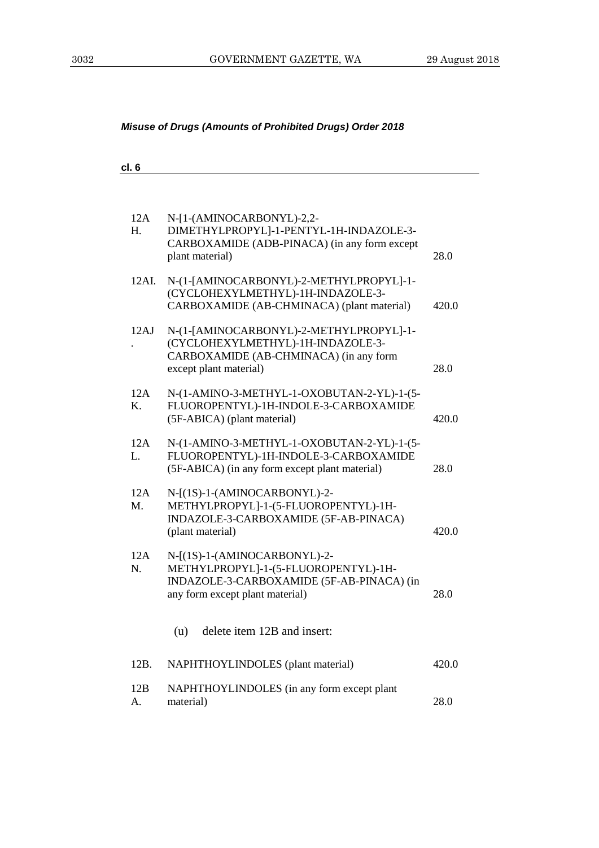| cl. 6 |  |  |
|-------|--|--|
|       |  |  |

| 12A<br>H. | N-[1-(AMINOCARBONYL)-2,2-<br>DIMETHYLPROPYL]-1-PENTYL-1H-INDAZOLE-3-<br>CARBOXAMIDE (ADB-PINACA) (in any form except<br>plant material)              | 28.0  |
|-----------|------------------------------------------------------------------------------------------------------------------------------------------------------|-------|
| 12AI.     | N-(1-[AMINOCARBONYL)-2-METHYLPROPYL]-1-<br>(CYCLOHEXYLMETHYL)-1H-INDAZOLE-3-<br>CARBOXAMIDE (AB-CHMINACA) (plant material)                           | 420.0 |
| 12AJ      | N-(1-[AMINOCARBONYL)-2-METHYLPROPYL]-1-<br>(CYCLOHEXYLMETHYL)-1H-INDAZOLE-3-<br>CARBOXAMIDE (AB-CHMINACA) (in any form<br>except plant material)     | 28.0  |
| 12A<br>Κ. | N-(1-AMINO-3-METHYL-1-OXOBUTAN-2-YL)-1-(5-<br>FLUOROPENTYL)-1H-INDOLE-3-CARBOXAMIDE<br>(5F-ABICA) (plant material)                                   | 420.0 |
| 12A<br>L. | N-(1-AMINO-3-METHYL-1-OXOBUTAN-2-YL)-1-(5-<br>FLUOROPENTYL)-1H-INDOLE-3-CARBOXAMIDE<br>(5F-ABICA) (in any form except plant material)                | 28.0  |
| 12A<br>M. | N-[(1S)-1-(AMINOCARBONYL)-2-<br>METHYLPROPYL]-1-(5-FLUOROPENTYL)-1H-<br>INDAZOLE-3-CARBOXAMIDE (5F-AB-PINACA)<br>(plant material)                    | 420.0 |
| 12A<br>N. | N-[(1S)-1-(AMINOCARBONYL)-2-<br>METHYLPROPYL]-1-(5-FLUOROPENTYL)-1H-<br>INDAZOLE-3-CARBOXAMIDE (5F-AB-PINACA) (in<br>any form except plant material) | 28.0  |
|           | delete item 12B and insert:<br>(u)                                                                                                                   |       |
| 12B.      | NAPHTHOYLINDOLES (plant material)                                                                                                                    | 420.0 |
| 12B<br>A. | NAPHTHOYLINDOLES (in any form except plant<br>material)                                                                                              | 28.0  |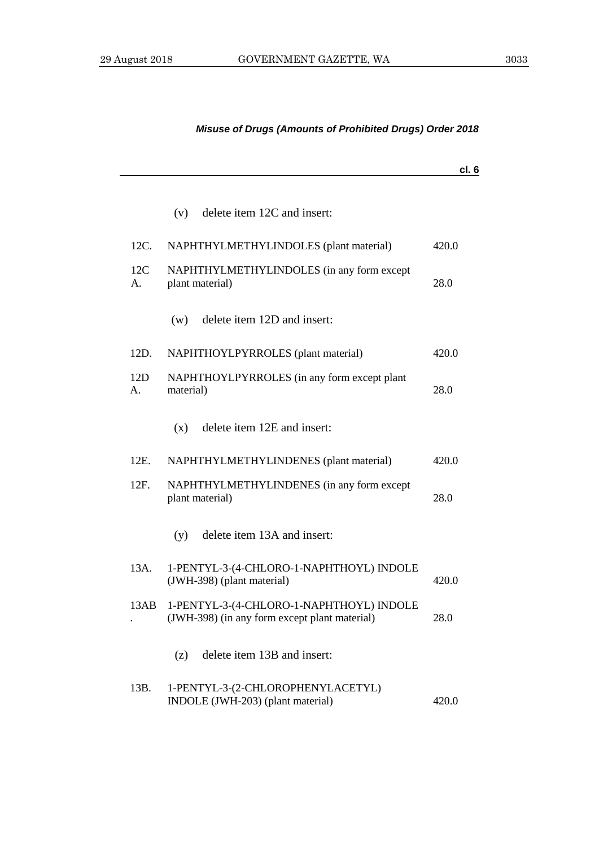|                       |                                                                                           | cl. 6 |
|-----------------------|-------------------------------------------------------------------------------------------|-------|
|                       | delete item 12C and insert:<br>(v)                                                        |       |
| 12C.                  | NAPHTHYLMETHYLINDOLES (plant material)                                                    | 420.0 |
| 12C<br>А.             | NAPHTHYLMETHYLINDOLES (in any form except<br>plant material)                              | 28.0  |
|                       | delete item 12D and insert:<br>(w)                                                        |       |
| 12D.                  | NAPHTHOYLPYRROLES (plant material)                                                        | 420.0 |
| 12D<br>A <sub>1</sub> | NAPHTHOYLPYRROLES (in any form except plant<br>material)                                  | 28.0  |
|                       | delete item 12E and insert:<br>(x)                                                        |       |
| 12E.                  | NAPHTHYLMETHYLINDENES (plant material)                                                    | 420.0 |
| 12F.                  | NAPHTHYLMETHYLINDENES (in any form except<br>plant material)                              | 28.0  |
|                       | delete item 13A and insert:<br>(y)                                                        |       |
| 13A.                  | 1-PENTYL-3-(4-CHLORO-1-NAPHTHOYL) INDOLE<br>(JWH-398) (plant material)                    | 420.0 |
| 13AB                  | 1-PENTYL-3-(4-CHLORO-1-NAPHTHOYL) INDOLE<br>(JWH-398) (in any form except plant material) | 28.0  |
|                       | delete item 13B and insert:<br>(z)                                                        |       |
| 13B.                  | 1-PENTYL-3-(2-CHLOROPHENYLACETYL)<br>INDOLE (JWH-203) (plant material)                    | 420.0 |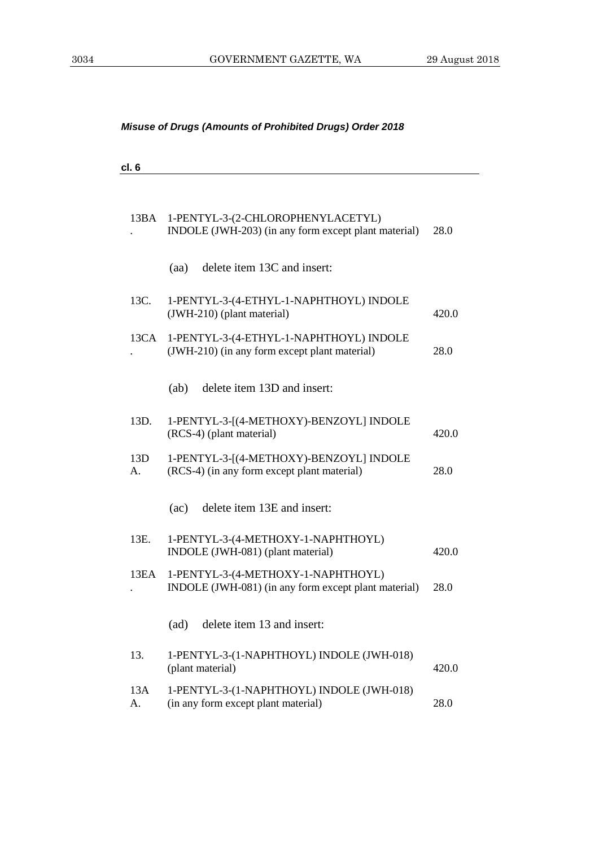| cl. 6     |                                                                                            |       |
|-----------|--------------------------------------------------------------------------------------------|-------|
| 13BA      | 1-PENTYL-3-(2-CHLOROPHENYLACETYL)<br>INDOLE (JWH-203) (in any form except plant material)  | 28.0  |
|           | delete item 13C and insert:<br>(aa)                                                        |       |
| 13C.      | 1-PENTYL-3-(4-ETHYL-1-NAPHTHOYL) INDOLE<br>(JWH-210) (plant material)                      | 420.0 |
| 13CA      | 1-PENTYL-3-(4-ETHYL-1-NAPHTHOYL) INDOLE<br>(JWH-210) (in any form except plant material)   | 28.0  |
|           | delete item 13D and insert:<br>(ab)                                                        |       |
| 13D.      | 1-PENTYL-3-[(4-METHOXY)-BENZOYL] INDOLE<br>(RCS-4) (plant material)                        | 420.0 |
| 13D<br>A. | 1-PENTYL-3-[(4-METHOXY)-BENZOYL] INDOLE<br>(RCS-4) (in any form except plant material)     | 28.0  |
|           | delete item 13E and insert:<br>(ac)                                                        |       |
| 13E.      | 1-PENTYL-3-(4-METHOXY-1-NAPHTHOYL)<br>INDOLE (JWH-081) (plant material)                    | 420.0 |
| 13EA      | 1-PENTYL-3-(4-METHOXY-1-NAPHTHOYL)<br>INDOLE (JWH-081) (in any form except plant material) | 28.0  |
|           | delete item 13 and insert:<br>(ad)                                                         |       |
| 13.       | 1-PENTYL-3-(1-NAPHTHOYL) INDOLE (JWH-018)<br>(plant material)                              | 420.0 |
| 13A<br>А. | 1-PENTYL-3-(1-NAPHTHOYL) INDOLE (JWH-018)<br>(in any form except plant material)           | 28.0  |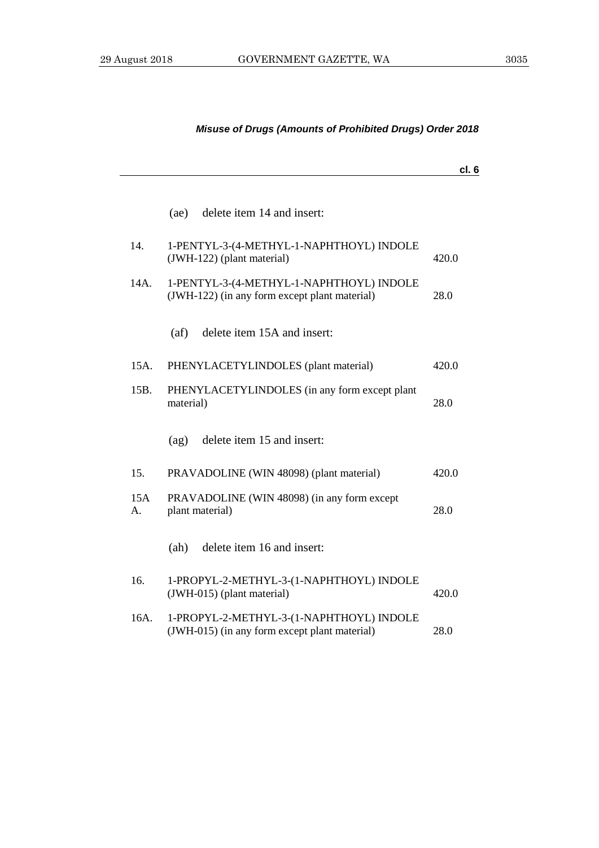# **cl. 6** (ae) delete item 14 and insert: 14. 1-PENTYL-3-(4-METHYL-1-NAPHTHOYL) INDOLE (JWH-122) (plant material) 420.0 14A. 1-PENTYL-3-(4-METHYL-1-NAPHTHOYL) INDOLE (JWH-122) (in any form except plant material) 28.0 (af) delete item 15A and insert: 15A. PHENYLACETYLINDOLES (plant material) 420.0 15B. PHENYLACETYLINDOLES (in any form except plant material) 28.0 (ag) delete item 15 and insert: 15. PRAVADOLINE (WIN 48098) (plant material) 420.0 15A A. PRAVADOLINE (WIN 48098) (in any form except plant material) 28.0 (ah) delete item 16 and insert: 16. 1-PROPYL-2-METHYL-3-(1-NAPHTHOYL) INDOLE (JWH-015) (plant material) 420.0 16A. 1-PROPYL-2-METHYL-3-(1-NAPHTHOYL) INDOLE (JWH-015) (in any form except plant material) 28.0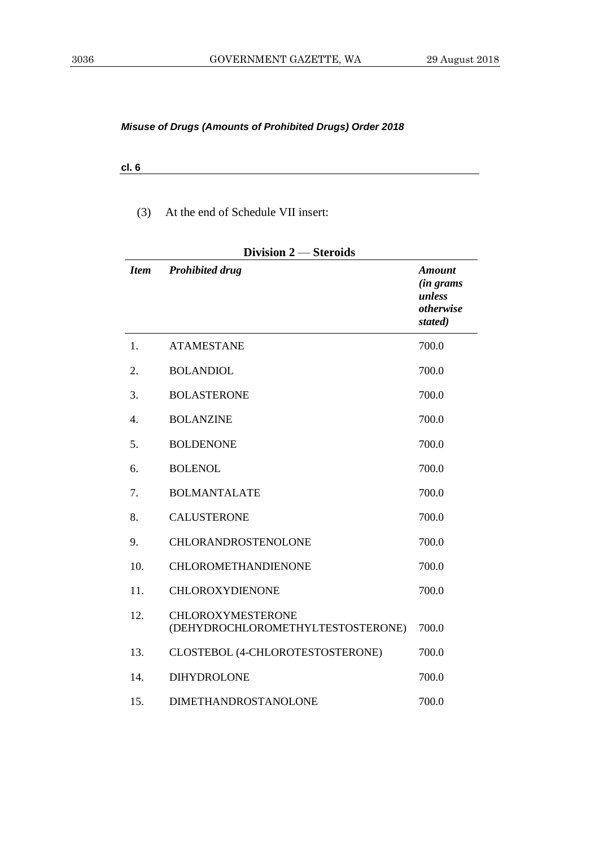**cl. 6**

(3) At the end of Schedule VII insert:

| Division 2 – Steroids |                                                               |                                                              |  |
|-----------------------|---------------------------------------------------------------|--------------------------------------------------------------|--|
| <b>Item</b>           | <b>Prohibited drug</b>                                        | <b>Amount</b><br>(in grams<br>unless<br>otherwise<br>stated) |  |
| 1.                    | <b>ATAMESTANE</b>                                             | 700.0                                                        |  |
| 2.                    | <b>BOLANDIOL</b>                                              | 700.0                                                        |  |
| 3.                    | <b>BOLASTERONE</b>                                            | 700.0                                                        |  |
| $\overline{4}$ .      | <b>BOLANZINE</b>                                              | 700.0                                                        |  |
| 5.                    | <b>BOLDENONE</b>                                              | 700.0                                                        |  |
| 6.                    | <b>BOLENOL</b>                                                | 700.0                                                        |  |
| 7.                    | <b>BOLMANTALATE</b>                                           | 700.0                                                        |  |
| 8.                    | <b>CALUSTERONE</b>                                            | 700.0                                                        |  |
| 9.                    | CHLORANDROSTENOLONE                                           | 700.0                                                        |  |
| 10.                   | <b>CHLOROMETHANDIENONE</b>                                    | 700.0                                                        |  |
| 11.                   | CHLOROXYDIENONE                                               | 700.0                                                        |  |
| 12.                   | <b>CHLOROXYMESTERONE</b><br>(DEHYDROCHLOROMETHYLTESTOSTERONE) | 700.0                                                        |  |
| 13.                   | CLOSTEBOL (4-CHLOROTESTOSTERONE)                              | 700.0                                                        |  |
| 14.                   | <b>DIHYDROLONE</b>                                            | 700.0                                                        |  |
| 15.                   | DIMETHANDROSTANOLONE                                          | 700.0                                                        |  |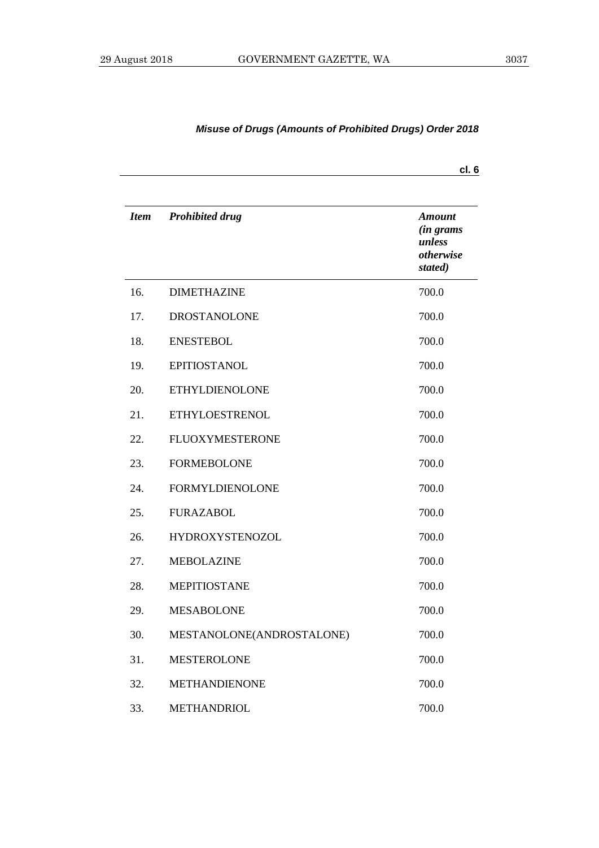|             |                           | cl. 6                                                               |
|-------------|---------------------------|---------------------------------------------------------------------|
| <b>Item</b> | <b>Prohibited drug</b>    | <b>Amount</b><br><i>(in grams</i><br>unless<br>otherwise<br>stated) |
| 16.         | <b>DIMETHAZINE</b>        | 700.0                                                               |
| 17.         | <b>DROSTANOLONE</b>       | 700.0                                                               |
| 18.         | <b>ENESTEBOL</b>          | 700.0                                                               |
| 19.         | <b>EPITIOSTANOL</b>       | 700.0                                                               |
| 20.         | <b>ETHYLDIENOLONE</b>     | 700.0                                                               |
| 21.         | <b>ETHYLOESTRENOL</b>     | 700.0                                                               |
| 22.         | <b>FLUOXYMESTERONE</b>    | 700.0                                                               |
| 23.         | <b>FORMEBOLONE</b>        | 700.0                                                               |
| 24.         | <b>FORMYLDIENOLONE</b>    | 700.0                                                               |
| 25.         | <b>FURAZABOL</b>          | 700.0                                                               |
| 26.         | <b>HYDROXYSTENOZOL</b>    | 700.0                                                               |
| 27.         | <b>MEBOLAZINE</b>         | 700.0                                                               |
| 28.         | <b>MEPITIOSTANE</b>       | 700.0                                                               |
| 29.         | <b>MESABOLONE</b>         | 700.0                                                               |
| 30.         | MESTANOLONE(ANDROSTALONE) | 700.0                                                               |
| 31.         | <b>MESTEROLONE</b>        | 700.0                                                               |
| 32.         | <b>METHANDIENONE</b>      | 700.0                                                               |
| 33.         | <b>METHANDRIOL</b>        | 700.0                                                               |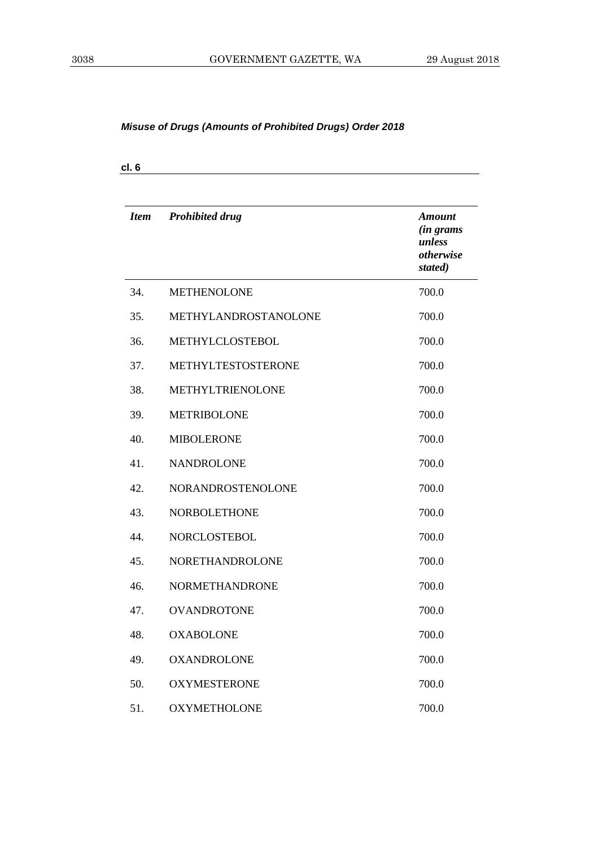| <b>Item</b> | <b>Prohibited drug</b> | <b>Amount</b><br>(in grams<br>unless<br>otherwise<br>stated) |
|-------------|------------------------|--------------------------------------------------------------|
| 34.         | <b>METHENOLONE</b>     | 700.0                                                        |
| 35.         | METHYLANDROSTANOLONE   | 700.0                                                        |
| 36.         | METHYLCLOSTEBOL        | 700.0                                                        |
| 37.         | METHYLTESTOSTERONE     | 700.0                                                        |
| 38.         | METHYLTRIENOLONE       | 700.0                                                        |
| 39.         | <b>METRIBOLONE</b>     | 700.0                                                        |
| 40.         | <b>MIBOLERONE</b>      | 700.0                                                        |
| 41.         | <b>NANDROLONE</b>      | 700.0                                                        |
| 42.         | NORANDROSTENOLONE      | 700.0                                                        |
| 43.         | <b>NORBOLETHONE</b>    | 700.0                                                        |
| 44.         | <b>NORCLOSTEBOL</b>    | 700.0                                                        |
| 45.         | <b>NORETHANDROLONE</b> | 700.0                                                        |
| 46.         | <b>NORMETHANDRONE</b>  | 700.0                                                        |
| 47.         | <b>OVANDROTONE</b>     | 700.0                                                        |
| 48.         | <b>OXABOLONE</b>       | 700.0                                                        |
| 49.         | <b>OXANDROLONE</b>     | 700.0                                                        |
| 50.         | <b>OXYMESTERONE</b>    | 700.0                                                        |
| 51.         | <b>OXYMETHOLONE</b>    | 700.0                                                        |

**cl. 6**